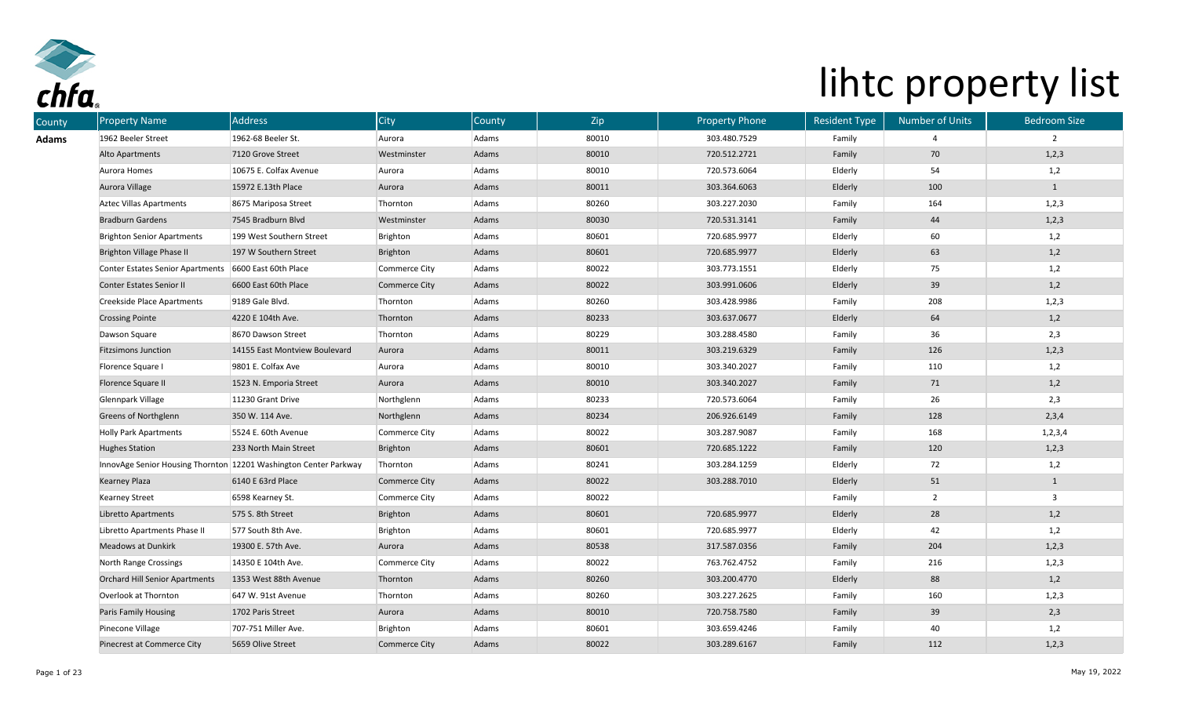

| County | <b>Property Name</b>                                  | Address                                                          | City                 | <b>County</b> | Zip   | <b>Property Phone</b> | <b>Resident Type</b> | <b>Number of Units</b> | <b>Bedroom Size</b> |
|--------|-------------------------------------------------------|------------------------------------------------------------------|----------------------|---------------|-------|-----------------------|----------------------|------------------------|---------------------|
| Adams  | 1962 Beeler Street                                    | 1962-68 Beeler St.                                               | Aurora               | Adams         | 80010 | 303.480.7529          | Family               |                        | $\overline{2}$      |
|        | Alto Apartments                                       | 7120 Grove Street                                                | Westminster          | Adams         | 80010 | 720.512.2721          | Family               | 70                     | 1,2,3               |
|        | Aurora Homes                                          | 10675 E. Colfax Avenue                                           | Aurora               | Adams         | 80010 | 720.573.6064          | Elderly              | 54                     | 1,2                 |
|        | Aurora Village                                        | 15972 E.13th Place                                               | Aurora               | Adams         | 80011 | 303.364.6063          | Elderly              | 100                    | $\mathbf{1}$        |
|        | <b>Aztec Villas Apartments</b>                        | 8675 Mariposa Street                                             | Thornton             | Adams         | 80260 | 303.227.2030          | Family               | 164                    | 1, 2, 3             |
|        | <b>Bradburn Gardens</b>                               | 7545 Bradburn Blvd                                               | Westminster          | Adams         | 80030 | 720.531.3141          | Family               | 44                     | 1,2,3               |
|        | <b>Brighton Senior Apartments</b>                     | 199 West Southern Street                                         | Brighton             | Adams         | 80601 | 720.685.9977          | Elderly              | 60                     | 1,2                 |
|        | Brighton Village Phase II                             | 197 W Southern Street                                            | Brighton             | Adams         | 80601 | 720.685.9977          | Elderly              | 63                     | 1,2                 |
|        | Conter Estates Senior Apartments 6600 East 60th Place |                                                                  | Commerce City        | Adams         | 80022 | 303.773.1551          | Elderly              | 75                     | 1,2                 |
|        | Conter Estates Senior II                              | 6600 East 60th Place                                             | Commerce City        | Adams         | 80022 | 303.991.0606          | Elderly              | 39                     | 1,2                 |
|        | Creekside Place Apartments                            | 9189 Gale Blvd.                                                  | Thornton             | Adams         | 80260 | 303.428.9986          | Family               | 208                    | 1, 2, 3             |
|        | <b>Crossing Pointe</b>                                | 4220 E 104th Ave.                                                | Thornton             | Adams         | 80233 | 303.637.0677          | Elderly              | 64                     | 1,2                 |
|        | Dawson Square                                         | 8670 Dawson Street                                               | Thornton             | Adams         | 80229 | 303.288.4580          | Family               | 36                     | 2,3                 |
|        | <b>Fitzsimons Junction</b>                            | 14155 East Montview Boulevard                                    | Aurora               | Adams         | 80011 | 303.219.6329          | Family               | 126                    | 1,2,3               |
|        | Florence Square I                                     | 9801 E. Colfax Ave                                               | Aurora               | Adams         | 80010 | 303.340.2027          | Family               | 110                    | 1,2                 |
|        | Florence Square II                                    | 1523 N. Emporia Street                                           | Aurora               | Adams         | 80010 | 303.340.2027          | Family               | 71                     | 1,2                 |
|        | Glennpark Village                                     | 11230 Grant Drive                                                | Northglenn           | Adams         | 80233 | 720.573.6064          | Family               | 26                     | 2,3                 |
|        | <b>Greens of Northglenn</b>                           | 350 W. 114 Ave.                                                  | Northglenn           | Adams         | 80234 | 206.926.6149          | Family               | 128                    | 2,3,4               |
|        | <b>Holly Park Apartments</b>                          | 5524 E. 60th Avenue                                              | Commerce City        | Adams         | 80022 | 303.287.9087          | Family               | 168                    | 1, 2, 3, 4          |
|        | <b>Hughes Station</b>                                 | 233 North Main Street                                            | Brighton             | Adams         | 80601 | 720.685.1222          | Family               | 120                    | 1,2,3               |
|        |                                                       | InnovAge Senior Housing Thornton 12201 Washington Center Parkway | Thornton             | Adams         | 80241 | 303.284.1259          | Elderly              | 72                     | 1,2                 |
|        | Kearney Plaza                                         | 6140 E 63rd Place                                                | <b>Commerce City</b> | Adams         | 80022 | 303.288.7010          | Elderly              | 51                     | $\mathbf{1}$        |
|        | <b>Kearney Street</b>                                 | 6598 Kearney St.                                                 | Commerce City        | Adams         | 80022 |                       | Family               | 2                      | 3                   |
|        | Libretto Apartments                                   | 575 S. 8th Street                                                | Brighton             | Adams         | 80601 | 720.685.9977          | Elderly              | 28                     | 1,2                 |
|        | Libretto Apartments Phase II                          | 577 South 8th Ave.                                               | Brighton             | Adams         | 80601 | 720.685.9977          | Elderly              | 42                     | 1,2                 |
|        | <b>Meadows at Dunkirk</b>                             | 19300 E. 57th Ave.                                               | Aurora               | Adams         | 80538 | 317.587.0356          | Family               | 204                    | 1,2,3               |
|        | North Range Crossings                                 | 14350 E 104th Ave.                                               | Commerce City        | Adams         | 80022 | 763.762.4752          | Family               | 216                    | 1,2,3               |
|        | <b>Orchard Hill Senior Apartments</b>                 | 1353 West 88th Avenue                                            | Thornton             | Adams         | 80260 | 303.200.4770          | Elderly              | 88                     | 1,2                 |
|        | Overlook at Thornton                                  | 647 W. 91st Avenue                                               | Thornton             | Adams         | 80260 | 303.227.2625          | Family               | 160                    | 1,2,3               |
|        | Paris Family Housing                                  | 1702 Paris Street                                                | Aurora               | Adams         | 80010 | 720.758.7580          | Family               | 39                     | 2,3                 |
|        | Pinecone Village                                      | 707-751 Miller Ave.                                              | Brighton             | Adams         | 80601 | 303.659.4246          | Family               | 40                     | 1,2                 |
|        | Pinecrest at Commerce City                            | 5659 Olive Street                                                | Commerce City        | Adams         | 80022 | 303.289.6167          | Family               | 112                    | 1, 2, 3             |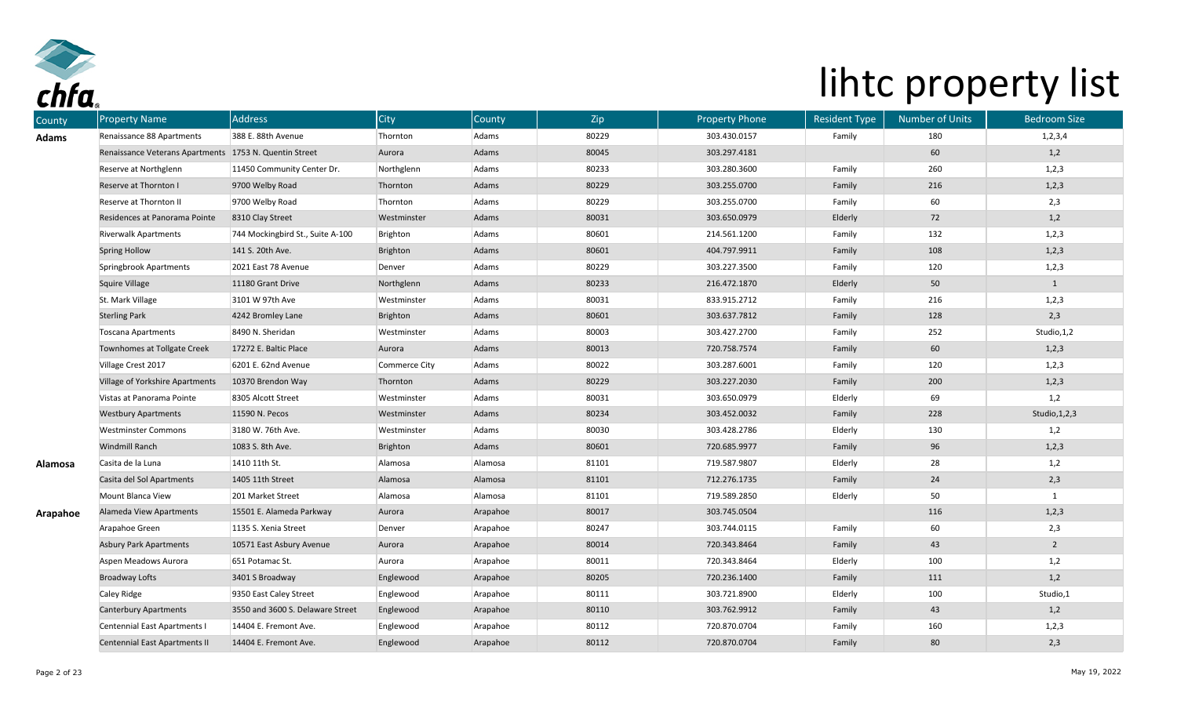

| County       | <b>Property Name</b>                 | <b>Address</b>                   | City          | County   | Zip   | <b>Property Phone</b> | <b>Resident Type</b> | Number of Units | <b>Bedroom Size</b> |
|--------------|--------------------------------------|----------------------------------|---------------|----------|-------|-----------------------|----------------------|-----------------|---------------------|
| <b>Adams</b> | Renaissance 88 Apartments            | 388 E. 88th Avenue               | Thornton      | Adams    | 80229 | 303.430.0157          | Family               | 180             | 1, 2, 3, 4          |
|              | Renaissance Veterans Apartments      | 1753 N. Quentin Street           | Aurora        | Adams    | 80045 | 303.297.4181          |                      | 60              | 1,2                 |
|              | Reserve at Northglenn                | 11450 Community Center Dr.       | Northglenn    | Adams    | 80233 | 303.280.3600          | Family               | 260             | 1,2,3               |
|              | Reserve at Thornton I                | 9700 Welby Road                  | Thornton      | Adams    | 80229 | 303.255.0700          | Family               | 216             | 1,2,3               |
|              | Reserve at Thornton II               | 9700 Welby Road                  | Thornton      | Adams    | 80229 | 303.255.0700          | Family               | 60              | 2,3                 |
|              | Residences at Panorama Pointe        | 8310 Clay Street                 | Westminster   | Adams    | 80031 | 303.650.0979          | Elderly              | 72              | 1,2                 |
|              | <b>Riverwalk Apartments</b>          | 744 Mockingbird St., Suite A-100 | Brighton      | Adams    | 80601 | 214.561.1200          | Family               | 132             | 1,2,3               |
|              | <b>Spring Hollow</b>                 | 141 S. 20th Ave.                 | Brighton      | Adams    | 80601 | 404.797.9911          | Family               | 108             | 1,2,3               |
|              | Springbrook Apartments               | 2021 East 78 Avenue              | Denver        | Adams    | 80229 | 303.227.3500          | Family               | 120             | 1,2,3               |
|              | <b>Squire Village</b>                | 11180 Grant Drive                | Northglenn    | Adams    | 80233 | 216.472.1870          | Elderly              | 50              | $\mathbf{1}$        |
|              | St. Mark Village                     | 3101 W 97th Ave                  | Westminster   | Adams    | 80031 | 833.915.2712          | Family               | 216             | 1,2,3               |
|              | <b>Sterling Park</b>                 | 4242 Bromley Lane                | Brighton      | Adams    | 80601 | 303.637.7812          | Family               | 128             | 2,3                 |
|              | Toscana Apartments                   | 8490 N. Sheridan                 | Westminster   | Adams    | 80003 | 303.427.2700          | Family               | 252             | Studio, 1, 2        |
|              | Townhomes at Tollgate Creek          | 17272 E. Baltic Place            | Aurora        | Adams    | 80013 | 720.758.7574          | Family               | 60              | 1,2,3               |
|              | Village Crest 2017                   | 6201 E. 62nd Avenue              | Commerce City | Adams    | 80022 | 303.287.6001          | Family               | 120             | 1,2,3               |
|              | Village of Yorkshire Apartments      | 10370 Brendon Way                | Thornton      | Adams    | 80229 | 303.227.2030          | Family               | 200             | 1,2,3               |
|              | Vistas at Panorama Pointe            | 8305 Alcott Street               | Westminster   | Adams    | 80031 | 303.650.0979          | Elderly              | 69              | 1,2                 |
|              | <b>Westbury Apartments</b>           | 11590 N. Pecos                   | Westminster   | Adams    | 80234 | 303.452.0032          | Family               | 228             | Studio, 1, 2, 3     |
|              | <b>Westminster Commons</b>           | 3180 W. 76th Ave.                | Westminster   | Adams    | 80030 | 303.428.2786          | Elderly              | 130             | 1,2                 |
|              | Windmill Ranch                       | 1083 S. 8th Ave.                 | Brighton      | Adams    | 80601 | 720.685.9977          | Family               | 96              | 1,2,3               |
| Alamosa      | Casita de la Luna                    | 1410 11th St.                    | Alamosa       | Alamosa  | 81101 | 719.587.9807          | Elderly              | 28              | 1,2                 |
|              | Casita del Sol Apartments            | 1405 11th Street                 | Alamosa       | Alamosa  | 81101 | 712.276.1735          | Family               | 24              | 2,3                 |
|              | Mount Blanca View                    | 201 Market Street                | Alamosa       | Alamosa  | 81101 | 719.589.2850          | Elderly              | 50              | 1                   |
| Arapahoe     | <b>Alameda View Apartments</b>       | 15501 E. Alameda Parkway         | Aurora        | Arapahoe | 80017 | 303.745.0504          |                      | 116             | 1,2,3               |
|              | Arapahoe Green                       | 1135 S. Xenia Street             | Denver        | Arapahoe | 80247 | 303.744.0115          | Family               | 60              | 2,3                 |
|              | <b>Asbury Park Apartments</b>        | 10571 East Asbury Avenue         | Aurora        | Arapahoe | 80014 | 720.343.8464          | Family               | 43              | $\overline{2}$      |
|              | Aspen Meadows Aurora                 | 651 Potamac St.                  | Aurora        | Arapahoe | 80011 | 720.343.8464          | Elderly              | 100             | 1,2                 |
|              | <b>Broadway Lofts</b>                | 3401 S Broadway                  | Englewood     | Arapahoe | 80205 | 720.236.1400          | Family               | 111             | 1,2                 |
|              | Caley Ridge                          | 9350 East Caley Street           | Englewood     | Arapahoe | 80111 | 303.721.8900          | Elderly              | 100             | Studio,1            |
|              | <b>Canterbury Apartments</b>         | 3550 and 3600 S. Delaware Street | Englewood     | Arapahoe | 80110 | 303.762.9912          | Family               | 43              | 1,2                 |
|              | Centennial East Apartments I         | 14404 E. Fremont Ave.            | Englewood     | Arapahoe | 80112 | 720.870.0704          | Family               | 160             | 1,2,3               |
|              | <b>Centennial East Apartments II</b> | 14404 E. Fremont Ave.            | Englewood     | Arapahoe | 80112 | 720.870.0704          | Family               | 80              | 2,3                 |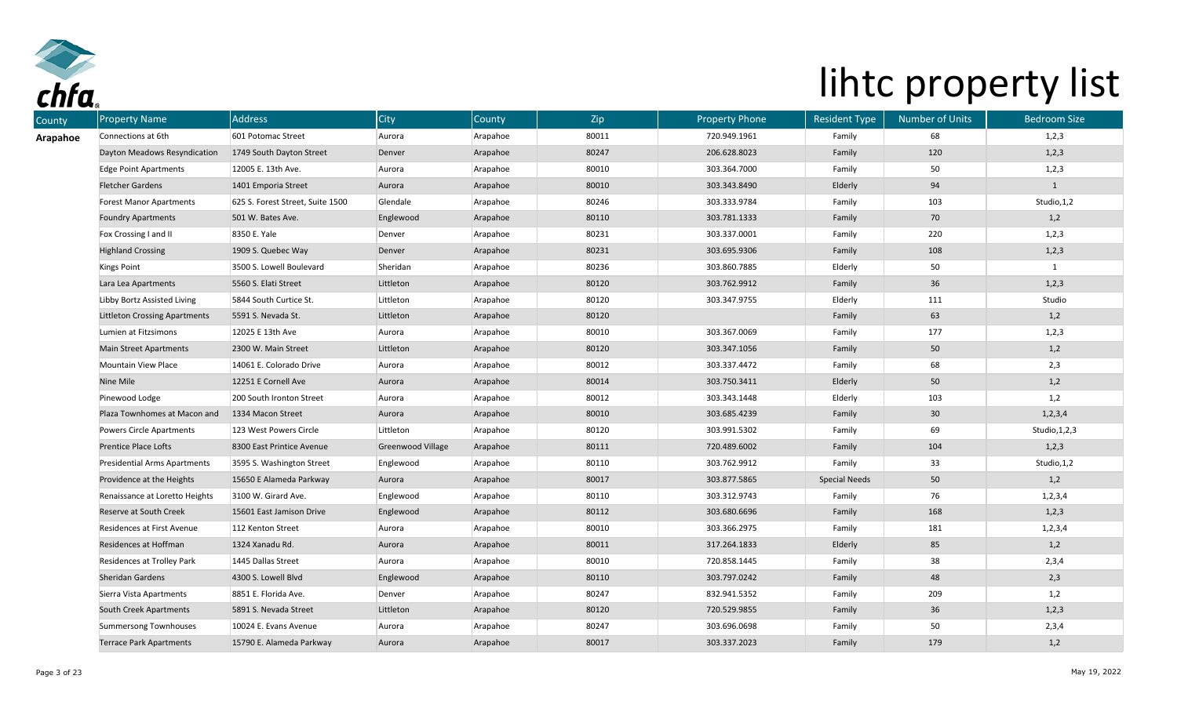

| County   | <b>Property Name</b>                 | <b>Address</b>                   | City                     | County   | Zip   | <b>Property Phone</b> | <b>Resident Type</b> | <b>Number of Units</b> | <b>Bedroom Size</b> |
|----------|--------------------------------------|----------------------------------|--------------------------|----------|-------|-----------------------|----------------------|------------------------|---------------------|
| Arapahoe | Connections at 6th                   | 601 Potomac Street               | Aurora                   | Arapahoe | 80011 | 720.949.1961          | Family               | 68                     | 1,2,3               |
|          | Dayton Meadows Resyndication         | 1749 South Dayton Street         | Denver                   | Arapahoe | 80247 | 206.628.8023          | Family               | 120                    | 1,2,3               |
|          | <b>Edge Point Apartments</b>         | 12005 E. 13th Ave.               | Aurora                   | Arapahoe | 80010 | 303.364.7000          | Family               | 50                     | 1,2,3               |
|          | <b>Fletcher Gardens</b>              | 1401 Emporia Street              | Aurora                   | Arapahoe | 80010 | 303.343.8490          | Elderly              | 94                     | $\mathbf{1}$        |
|          | <b>Forest Manor Apartments</b>       | 625 S. Forest Street, Suite 1500 | Glendale                 | Arapahoe | 80246 | 303.333.9784          | Family               | 103                    | Studio, 1,2         |
|          | <b>Foundry Apartments</b>            | 501 W. Bates Ave.                | Englewood                | Arapahoe | 80110 | 303.781.1333          | Family               | 70                     | 1,2                 |
|          | Fox Crossing I and II                | 8350 E. Yale                     | Denver                   | Arapahoe | 80231 | 303.337.0001          | Family               | 220                    | 1,2,3               |
|          | <b>Highland Crossing</b>             | 1909 S. Quebec Way               | Denver                   | Arapahoe | 80231 | 303.695.9306          | Family               | 108                    | 1,2,3               |
|          | Kings Point                          | 3500 S. Lowell Boulevard         | Sheridan                 | Arapahoe | 80236 | 303.860.7885          | Elderly              | 50                     | $\mathbf{1}$        |
|          | Lara Lea Apartments                  | 5560 S. Elati Street             | Littleton                | Arapahoe | 80120 | 303.762.9912          | Family               | 36                     | 1,2,3               |
|          | Libby Bortz Assisted Living          | 5844 South Curtice St.           | Littleton                | Arapahoe | 80120 | 303.347.9755          | Elderly              | 111                    | Studio              |
|          | <b>Littleton Crossing Apartments</b> | 5591 S. Nevada St.               | Littleton                | Arapahoe | 80120 |                       | Family               | 63                     | 1,2                 |
|          | Lumien at Fitzsimons                 | 12025 E 13th Ave                 | Aurora                   | Arapahoe | 80010 | 303.367.0069          | Family               | 177                    | 1,2,3               |
|          | <b>Main Street Apartments</b>        | 2300 W. Main Street              | Littleton                | Arapahoe | 80120 | 303.347.1056          | Family               | 50                     | 1,2                 |
|          | Mountain View Place                  | 14061 E. Colorado Drive          | Aurora                   | Arapahoe | 80012 | 303.337.4472          | Family               | 68                     | 2,3                 |
|          | Nine Mile                            | 12251 E Cornell Ave              | Aurora                   | Arapahoe | 80014 | 303.750.3411          | Elderly              | 50                     | 1,2                 |
|          | Pinewood Lodge                       | 200 South Ironton Street         | Aurora                   | Arapahoe | 80012 | 303.343.1448          | Elderly              | 103                    | 1,2                 |
|          | Plaza Townhomes at Macon and         | 1334 Macon Street                | Aurora                   | Arapahoe | 80010 | 303.685.4239          | Family               | 30 <sub>o</sub>        | 1, 2, 3, 4          |
|          | Powers Circle Apartments             | 123 West Powers Circle           | Littleton                | Arapahoe | 80120 | 303.991.5302          | Family               | 69                     | Studio, 1, 2, 3     |
|          | Prentice Place Lofts                 | 8300 East Printice Avenue        | <b>Greenwood Village</b> | Arapahoe | 80111 | 720.489.6002          | Family               | 104                    | 1,2,3               |
|          | Presidential Arms Apartments         | 3595 S. Washington Street        | Englewood                | Arapahoe | 80110 | 303.762.9912          | Family               | 33                     | Studio, 1, 2        |
|          | Providence at the Heights            | 15650 E Alameda Parkway          | Aurora                   | Arapahoe | 80017 | 303.877.5865          | <b>Special Needs</b> | 50                     | 1,2                 |
|          | Renaissance at Loretto Heights       | 3100 W. Girard Ave.              | Englewood                | Arapahoe | 80110 | 303.312.9743          | Family               | 76                     | 1,2,3,4             |
|          | Reserve at South Creek               | 15601 East Jamison Drive         | Englewood                | Arapahoe | 80112 | 303.680.6696          | Family               | 168                    | 1,2,3               |
|          | Residences at First Avenue           | 112 Kenton Street                | Aurora                   | Arapahoe | 80010 | 303.366.2975          | Family               | 181                    | 1, 2, 3, 4          |
|          | Residences at Hoffman                | 1324 Xanadu Rd.                  | Aurora                   | Arapahoe | 80011 | 317.264.1833          | Elderly              | 85                     | 1,2                 |
|          | Residences at Trolley Park           | 1445 Dallas Street               | Aurora                   | Arapahoe | 80010 | 720.858.1445          | Family               | 38                     | 2,3,4               |
|          | Sheridan Gardens                     | 4300 S. Lowell Blvd              | Englewood                | Arapahoe | 80110 | 303.797.0242          | Family               | 48                     | 2,3                 |
|          | Sierra Vista Apartments              | 8851 E. Florida Ave.             | Denver                   | Arapahoe | 80247 | 832.941.5352          | Family               | 209                    | 1,2                 |
|          | South Creek Apartments               | 5891 S. Nevada Street            | Littleton                | Arapahoe | 80120 | 720.529.9855          | Family               | 36                     | 1,2,3               |
|          | <b>Summersong Townhouses</b>         | 10024 E. Evans Avenue            | Aurora                   | Arapahoe | 80247 | 303.696.0698          | Family               | 50                     | 2,3,4               |
|          | <b>Terrace Park Apartments</b>       | 15790 E. Alameda Parkway         | Aurora                   | Arapahoe | 80017 | 303.337.2023          | Family               | 179                    | 1,2                 |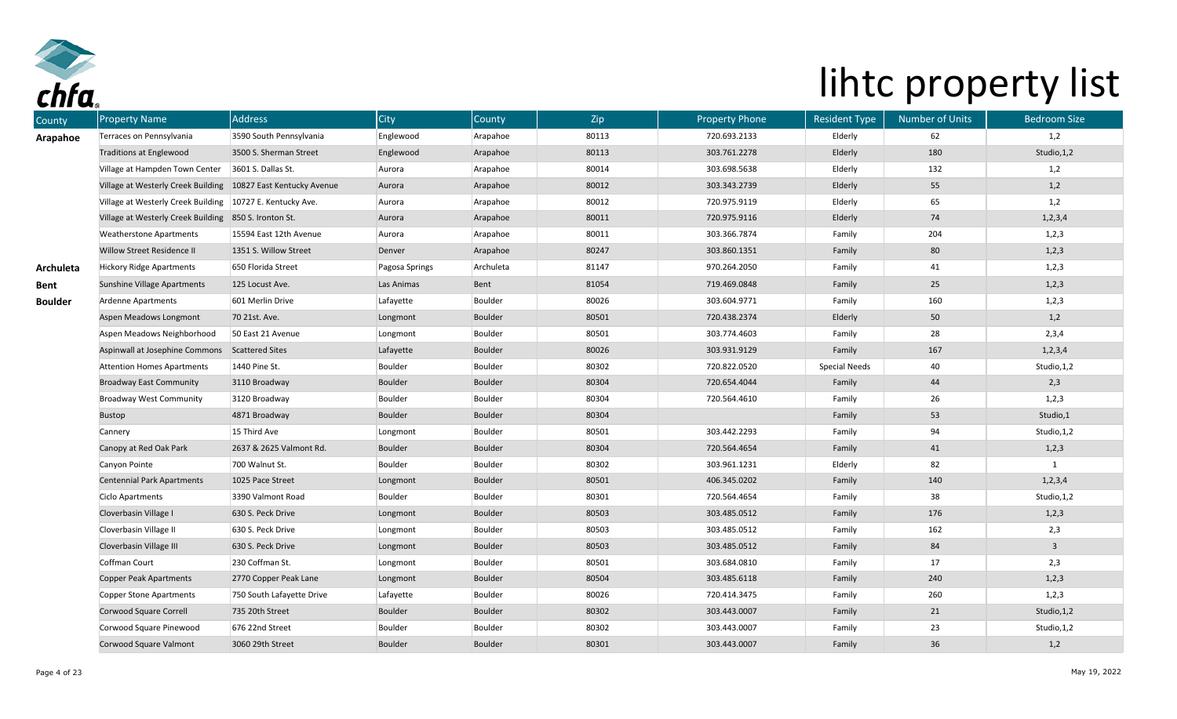

| County         | <b>Property Name</b>                                          | <b>Address</b>            | <b>City</b>    | County    | Zip   | <b>Property Phone</b> | <b>Resident Type</b> | <b>Number of Units</b> | <b>Bedroom Size</b>     |
|----------------|---------------------------------------------------------------|---------------------------|----------------|-----------|-------|-----------------------|----------------------|------------------------|-------------------------|
| Arapahoe       | Terraces on Pennsylvania                                      | 3590 South Pennsylvania   | Englewood      | Arapahoe  | 80113 | 720.693.2133          | Elderly              | 62                     | 1,2                     |
|                | <b>Traditions at Englewood</b>                                | 3500 S. Sherman Street    | Englewood      | Arapahoe  | 80113 | 303.761.2278          | Elderly              | 180                    | Studio, 1,2             |
|                | Village at Hampden Town Center                                | 3601 S. Dallas St.        | Aurora         | Arapahoe  | 80014 | 303.698.5638          | Elderly              | 132                    | 1,2                     |
|                | Village at Westerly Creek Building 10827 East Kentucky Avenue |                           | Aurora         | Arapahoe  | 80012 | 303.343.2739          | Elderly              | 55                     | 1,2                     |
|                | Village at Westerly Creek Building   10727 E. Kentucky Ave.   |                           | Aurora         | Arapahoe  | 80012 | 720.975.9119          | Elderly              | 65                     | 1,2                     |
|                | Village at Westerly Creek Building 850 S. Ironton St.         |                           | Aurora         | Arapahoe  | 80011 | 720.975.9116          | Elderly              | 74                     | 1, 2, 3, 4              |
|                | <b>Weatherstone Apartments</b>                                | 15594 East 12th Avenue    | Aurora         | Arapahoe  | 80011 | 303.366.7874          | Family               | 204                    | 1,2,3                   |
|                | Willow Street Residence II                                    | 1351 S. Willow Street     | Denver         | Arapahoe  | 80247 | 303.860.1351          | Family               | 80                     | 1,2,3                   |
| Archuleta      | <b>Hickory Ridge Apartments</b>                               | 650 Florida Street        | Pagosa Springs | Archuleta | 81147 | 970.264.2050          | Family               | 41                     | 1,2,3                   |
| Bent           | Sunshine Village Apartments                                   | 125 Locust Ave.           | Las Animas     | Bent      | 81054 | 719.469.0848          | Family               | 25                     | 1,2,3                   |
| <b>Boulder</b> | Ardenne Apartments                                            | 601 Merlin Drive          | Lafayette      | Boulder   | 80026 | 303.604.9771          | Family               | 160                    | 1,2,3                   |
|                | Aspen Meadows Longmont                                        | 70 21st. Ave.             | Longmont       | Boulder   | 80501 | 720.438.2374          | Elderly              | 50                     | 1,2                     |
|                | Aspen Meadows Neighborhood                                    | 50 East 21 Avenue         | Longmont       | Boulder   | 80501 | 303.774.4603          | Family               | 28                     | 2,3,4                   |
|                | Aspinwall at Josephine Commons                                | <b>Scattered Sites</b>    | Lafayette      | Boulder   | 80026 | 303.931.9129          | Family               | 167                    | 1, 2, 3, 4              |
|                | <b>Attention Homes Apartments</b>                             | 1440 Pine St.             | Boulder        | Boulder   | 80302 | 720.822.0520          | Special Needs        | 40                     | Studio, 1, 2            |
|                | <b>Broadway East Community</b>                                | 3110 Broadway             | Boulder        | Boulder   | 80304 | 720.654.4044          | Family               | 44                     | 2,3                     |
|                | <b>Broadway West Community</b>                                | 3120 Broadway             | Boulder        | Boulder   | 80304 | 720.564.4610          | Family               | 26                     | 1,2,3                   |
|                | Bustop                                                        | 4871 Broadway             | Boulder        | Boulder   | 80304 |                       | Family               | 53                     | Studio,1                |
|                | Cannery                                                       | 15 Third Ave              | Longmont       | Boulder   | 80501 | 303.442.2293          | Family               | 94                     | Studio, 1, 2            |
|                | Canopy at Red Oak Park                                        | 2637 & 2625 Valmont Rd.   | Boulder        | Boulder   | 80304 | 720.564.4654          | Family               | 41                     | 1,2,3                   |
|                | Canyon Pointe                                                 | 700 Walnut St.            | Boulder        | Boulder   | 80302 | 303.961.1231          | Elderly              | 82                     |                         |
|                | <b>Centennial Park Apartments</b>                             | 1025 Pace Street          | Longmont       | Boulder   | 80501 | 406.345.0202          | Family               | 140                    | 1, 2, 3, 4              |
|                | Ciclo Apartments                                              | 3390 Valmont Road         | Boulder        | Boulder   | 80301 | 720.564.4654          | Family               | 38                     | Studio, 1, 2            |
|                | Cloverbasin Village I                                         | 630 S. Peck Drive         | Longmont       | Boulder   | 80503 | 303.485.0512          | Family               | 176                    | 1,2,3                   |
|                | Cloverbasin Village II                                        | 630 S. Peck Drive         | Longmont       | Boulder   | 80503 | 303.485.0512          | Family               | 162                    | 2,3                     |
|                | Cloverbasin Village III                                       | 630 S. Peck Drive         | Longmont       | Boulder   | 80503 | 303.485.0512          | Family               | 84                     | $\overline{\mathbf{3}}$ |
|                | Coffman Court                                                 | 230 Coffman St.           | Longmont       | Boulder   | 80501 | 303.684.0810          | Family               | 17                     | 2,3                     |
|                | <b>Copper Peak Apartments</b>                                 | 2770 Copper Peak Lane     | Longmont       | Boulder   | 80504 | 303.485.6118          | Family               | 240                    | 1,2,3                   |
|                | Copper Stone Apartments                                       | 750 South Lafayette Drive | Lafayette      | Boulder   | 80026 | 720.414.3475          | Family               | 260                    | 1,2,3                   |
|                | Corwood Square Correll                                        | 735 20th Street           | Boulder        | Boulder   | 80302 | 303.443.0007          | Family               | 21                     | Studio, 1, 2            |
|                | Corwood Square Pinewood                                       | 676 22nd Street           | Boulder        | Boulder   | 80302 | 303.443.0007          | Family               | 23                     | Studio, 1, 2            |
|                | Corwood Square Valmont                                        | 3060 29th Street          | Boulder        | Boulder   | 80301 | 303.443.0007          | Family               | 36                     | 1,2                     |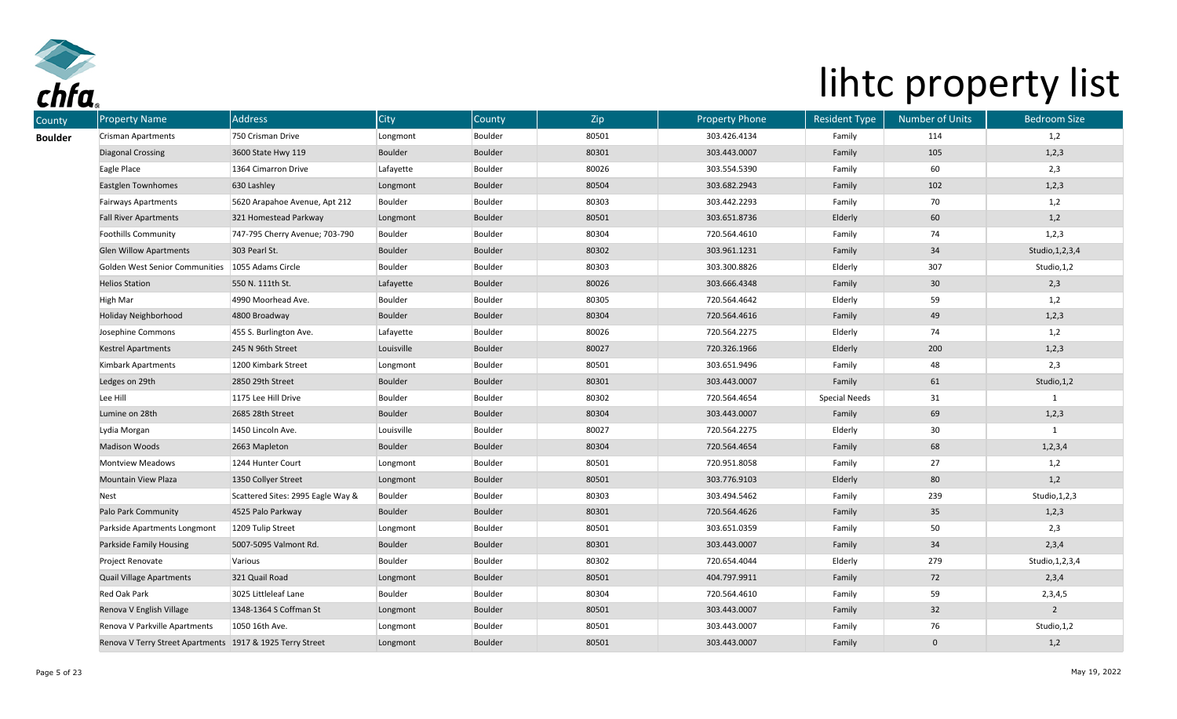

| <b>County</b>  | <b>Property Name</b>                                      | Address                           | <b>City</b> | County  | Zip   | <b>Property Phone</b> | <b>Resident Type</b> | <b>Number of Units</b> | <b>Bedroom Size</b> |
|----------------|-----------------------------------------------------------|-----------------------------------|-------------|---------|-------|-----------------------|----------------------|------------------------|---------------------|
| <b>Boulder</b> | Crisman Apartments                                        | 750 Crisman Drive                 | Longmont    | Boulder | 80501 | 303.426.4134          | Family               | 114                    | 1,2                 |
|                | <b>Diagonal Crossing</b>                                  | 3600 State Hwy 119                | Boulder     | Boulder | 80301 | 303.443.0007          | Family               | 105                    | 1,2,3               |
|                | Eagle Place                                               | 1364 Cimarron Drive               | Lafayette   | Boulder | 80026 | 303.554.5390          | Family               | 60                     | 2,3                 |
|                | <b>Eastglen Townhomes</b>                                 | 630 Lashley                       | Longmont    | Boulder | 80504 | 303.682.2943          | Family               | 102                    | 1,2,3               |
|                | <b>Fairways Apartments</b>                                | 5620 Arapahoe Avenue, Apt 212     | Boulder     | Boulder | 80303 | 303.442.2293          | Family               | 70                     | 1,2                 |
|                | <b>Fall River Apartments</b>                              | 321 Homestead Parkway             | Longmont    | Boulder | 80501 | 303.651.8736          | Elderly              | 60                     | 1,2                 |
|                | <b>Foothills Community</b>                                | 747-795 Cherry Avenue; 703-790    | Boulder     | Boulder | 80304 | 720.564.4610          | Family               | 74                     | 1,2,3               |
|                | <b>Glen Willow Apartments</b>                             | 303 Pearl St.                     | Boulder     | Boulder | 80302 | 303.961.1231          | Family               | 34                     | Studio, 1, 2, 3, 4  |
|                | Golden West Senior Communities                            | 1055 Adams Circle                 | Boulder     | Boulder | 80303 | 303.300.8826          | Elderly              | 307                    | Studio, 1, 2        |
|                | <b>Helios Station</b>                                     | 550 N. 111th St.                  | Lafayette   | Boulder | 80026 | 303.666.4348          | Family               | 30 <sub>o</sub>        | 2,3                 |
|                | High Mar                                                  | 4990 Moorhead Ave.                | Boulder     | Boulder | 80305 | 720.564.4642          | Elderly              | 59                     | 1,2                 |
|                | Holiday Neighborhood                                      | 4800 Broadway                     | Boulder     | Boulder | 80304 | 720.564.4616          | Family               | 49                     | 1,2,3               |
|                | Josephine Commons                                         | 455 S. Burlington Ave.            | Lafayette   | Boulder | 80026 | 720.564.2275          | Elderly              | 74                     | 1,2                 |
|                | <b>Kestrel Apartments</b>                                 | 245 N 96th Street                 | Louisville  | Boulder | 80027 | 720.326.1966          | Elderly              | 200                    | 1,2,3               |
|                | Kimbark Apartments                                        | 1200 Kimbark Street               | Longmont    | Boulder | 80501 | 303.651.9496          | Family               | 48                     | 2,3                 |
|                | Ledges on 29th                                            | 2850 29th Street                  | Boulder     | Boulder | 80301 | 303.443.0007          | Family               | 61                     | Studio, 1, 2        |
|                | Lee Hill                                                  | 1175 Lee Hill Drive               | Boulder     | Boulder | 80302 | 720.564.4654          | <b>Special Needs</b> | 31                     |                     |
|                | Lumine on 28th                                            | 2685 28th Street                  | Boulder     | Boulder | 80304 | 303.443.0007          | Family               | 69                     | 1,2,3               |
|                | Lydia Morgan                                              | 1450 Lincoln Ave.                 | Louisville  | Boulder | 80027 | 720.564.2275          | Elderly              | 30                     | 1                   |
|                | <b>Madison Woods</b>                                      | 2663 Mapleton                     | Boulder     | Boulder | 80304 | 720.564.4654          | Family               | 68                     | 1, 2, 3, 4          |
|                | <b>Montview Meadows</b>                                   | 1244 Hunter Court                 | Longmont    | Boulder | 80501 | 720.951.8058          | Family               | 27                     | 1,2                 |
|                | Mountain View Plaza                                       | 1350 Collyer Street               | Longmont    | Boulder | 80501 | 303.776.9103          | Elderly              | $80\,$                 | 1,2                 |
|                | Nest                                                      | Scattered Sites: 2995 Eagle Way & | Boulder     | Boulder | 80303 | 303.494.5462          | Family               | 239                    | Studio, 1, 2, 3     |
|                | Palo Park Community                                       | 4525 Palo Parkway                 | Boulder     | Boulder | 80301 | 720.564.4626          | Family               | 35                     | 1,2,3               |
|                | Parkside Apartments Longmont                              | 1209 Tulip Street                 | Longmont    | Boulder | 80501 | 303.651.0359          | Family               | 50                     | 2,3                 |
|                | Parkside Family Housing                                   | 5007-5095 Valmont Rd.             | Boulder     | Boulder | 80301 | 303.443.0007          | Family               | $34\,$                 | 2,3,4               |
|                | Project Renovate                                          | Various                           | Boulder     | Boulder | 80302 | 720.654.4044          | Elderly              | 279                    | Studio, 1, 2, 3, 4  |
|                | Quail Village Apartments                                  | 321 Quail Road                    | Longmont    | Boulder | 80501 | 404.797.9911          | Family               | 72                     | 2,3,4               |
|                | Red Oak Park                                              | 3025 Littleleaf Lane              | Boulder     | Boulder | 80304 | 720.564.4610          | Family               | 59                     | 2,3,4,5             |
|                | Renova V English Village                                  | 1348-1364 S Coffman St            | Longmont    | Boulder | 80501 | 303.443.0007          | Family               | 32                     | $\overline{2}$      |
|                | Renova V Parkville Apartments                             | 1050 16th Ave.                    | Longmont    | Boulder | 80501 | 303.443.0007          | Family               | 76                     | Studio, 1,2         |
|                | Renova V Terry Street Apartments 1917 & 1925 Terry Street |                                   | Longmont    | Boulder | 80501 | 303.443.0007          | Family               | $\mathbf{0}$           | 1,2                 |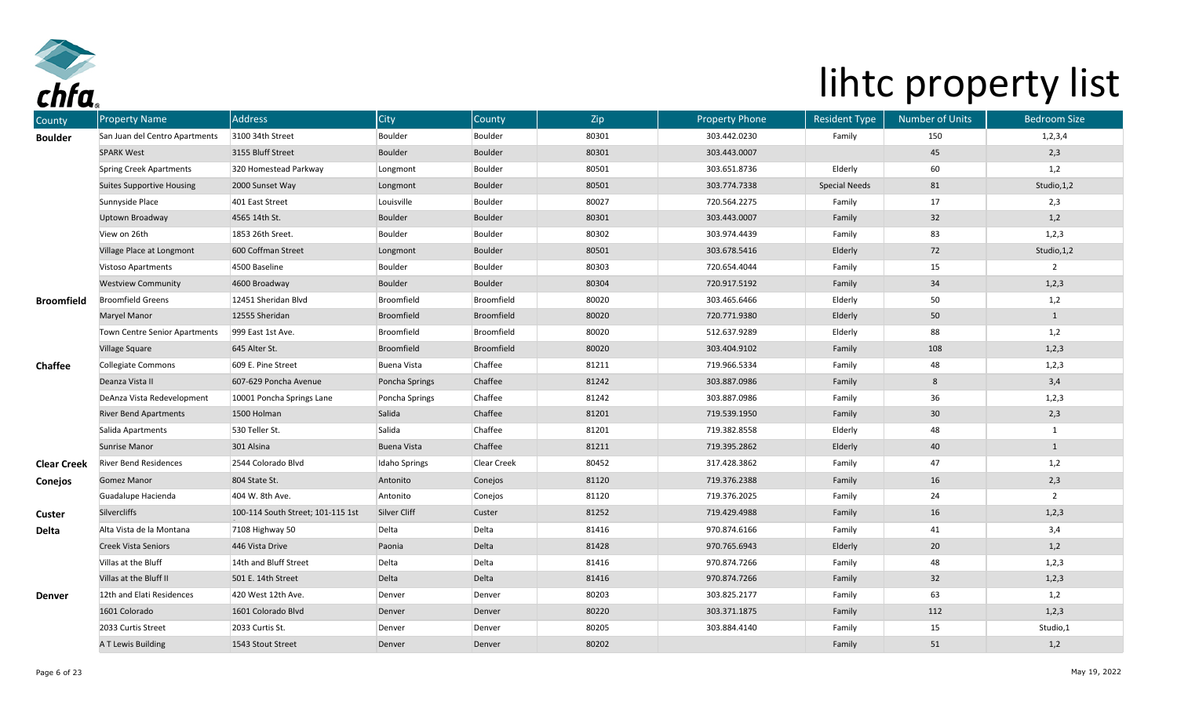

| County             | <b>Property Name</b>             | <b>Address</b>                    | <b>City</b>        | County      | Zip   | <b>Property Phone</b> | <b>Resident Type</b> | <b>Number of Units</b> | <b>Bedroom Size</b> |
|--------------------|----------------------------------|-----------------------------------|--------------------|-------------|-------|-----------------------|----------------------|------------------------|---------------------|
| <b>Boulder</b>     | San Juan del Centro Apartments   | 3100 34th Street                  | Boulder            | Boulder     | 80301 | 303.442.0230          | Family               | 150                    | 1, 2, 3, 4          |
|                    | <b>SPARK West</b>                | 3155 Bluff Street                 | <b>Boulder</b>     | Boulder     | 80301 | 303.443.0007          |                      | 45                     | 2,3                 |
|                    | <b>Spring Creek Apartments</b>   | 320 Homestead Parkway             | Longmont           | Boulder     | 80501 | 303.651.8736          | Elderly              | 60                     | 1,2                 |
|                    | <b>Suites Supportive Housing</b> | 2000 Sunset Way                   | Longmont           | Boulder     | 80501 | 303.774.7338          | <b>Special Needs</b> | 81                     | Studio, 1,2         |
|                    | Sunnyside Place                  | 401 East Street                   | Louisville         | Boulder     | 80027 | 720.564.2275          | Family               | 17                     | 2,3                 |
|                    | Uptown Broadway                  | 4565 14th St.                     | <b>Boulder</b>     | Boulder     | 80301 | 303.443.0007          | Family               | 32                     | 1,2                 |
|                    | View on 26th                     | 1853 26th Sreet.                  | Boulder            | Boulder     | 80302 | 303.974.4439          | Family               | 83                     | 1,2,3               |
|                    | Village Place at Longmont        | 600 Coffman Street                | Longmont           | Boulder     | 80501 | 303.678.5416          | Elderly              | 72                     | Studio, 1, 2        |
|                    | Vistoso Apartments               | 4500 Baseline                     | Boulder            | Boulder     | 80303 | 720.654.4044          | Family               | 15                     | $\overline{2}$      |
|                    | <b>Westview Community</b>        | 4600 Broadway                     | <b>Boulder</b>     | Boulder     | 80304 | 720.917.5192          | Family               | 34                     | 1,2,3               |
| <b>Broomfield</b>  | <b>Broomfield Greens</b>         | 12451 Sheridan Blvd               | Broomfield         | Broomfield  | 80020 | 303.465.6466          | Elderly              | 50                     | 1,2                 |
|                    | Maryel Manor                     | 12555 Sheridan                    | Broomfield         | Broomfield  | 80020 | 720.771.9380          | Elderly              | 50                     | $\mathbf{1}$        |
|                    | Town Centre Senior Apartments    | 999 East 1st Ave.                 | Broomfield         | Broomfield  | 80020 | 512.637.9289          | Elderly              | 88                     | 1,2                 |
|                    | <b>Village Square</b>            | 645 Alter St.                     | Broomfield         | Broomfield  | 80020 | 303.404.9102          | Family               | 108                    | 1,2,3               |
| <b>Chaffee</b>     | Collegiate Commons               | 609 E. Pine Street                | <b>Buena Vista</b> | Chaffee     | 81211 | 719.966.5334          | Family               | 48                     | 1,2,3               |
|                    | Deanza Vista II                  | 607-629 Poncha Avenue             | Poncha Springs     | Chaffee     | 81242 | 303.887.0986          | Family               | 8                      | 3,4                 |
|                    | DeAnza Vista Redevelopment       | 10001 Poncha Springs Lane         | Poncha Springs     | Chaffee     | 81242 | 303.887.0986          | Family               | 36                     | 1,2,3               |
|                    | <b>River Bend Apartments</b>     | 1500 Holman                       | Salida             | Chaffee     | 81201 | 719.539.1950          | Family               | 30 <sub>o</sub>        | 2,3                 |
|                    | Salida Apartments                | 530 Teller St.                    | Salida             | Chaffee     | 81201 | 719.382.8558          | Elderly              | 48                     | $\mathbf{1}$        |
|                    | <b>Sunrise Manor</b>             | 301 Alsina                        | <b>Buena Vista</b> | Chaffee     | 81211 | 719.395.2862          | Elderly              | 40                     | $\mathbf{1}$        |
| <b>Clear Creek</b> | <b>River Bend Residences</b>     | 2544 Colorado Blvd                | Idaho Springs      | Clear Creek | 80452 | 317.428.3862          | Family               | 47                     | 1,2                 |
| Conejos            | <b>Gomez Manor</b>               | 804 State St.                     | Antonito           | Conejos     | 81120 | 719.376.2388          | Family               | 16                     | 2,3                 |
|                    | Guadalupe Hacienda               | 404 W. 8th Ave.                   | Antonito           | Conejos     | 81120 | 719.376.2025          | Family               | 24                     | $\overline{2}$      |
| Custer             | Silvercliffs                     | 100-114 South Street; 101-115 1st | Silver Cliff       | Custer      | 81252 | 719.429.4988          | Family               | 16                     | 1,2,3               |
| Delta              | Alta Vista de la Montana         | 7108 Highway 50                   | Delta              | Delta       | 81416 | 970.874.6166          | Family               | 41                     | 3,4                 |
|                    | Creek Vista Seniors              | 446 Vista Drive                   | Paonia             | Delta       | 81428 | 970.765.6943          | Elderly              | $20\degree$            | 1,2                 |
|                    | Villas at the Bluff              | 14th and Bluff Street             | Delta              | Delta       | 81416 | 970.874.7266          | Family               | 48                     | 1,2,3               |
|                    | Villas at the Bluff II           | 501 E. 14th Street                | Delta              | Delta       | 81416 | 970.874.7266          | Family               | 32                     | 1,2,3               |
| <b>Denver</b>      | 12th and Elati Residences        | 420 West 12th Ave.                | Denver             | Denver      | 80203 | 303.825.2177          | Family               | 63                     | 1,2                 |
|                    | 1601 Colorado                    | 1601 Colorado Blvd                | Denver             | Denver      | 80220 | 303.371.1875          | Family               | 112                    | 1,2,3               |
|                    | 2033 Curtis Street               | 2033 Curtis St.                   | Denver             | Denver      | 80205 | 303.884.4140          | Family               | 15                     | Studio,1            |
|                    | A T Lewis Building               | 1543 Stout Street                 | Denver             | Denver      | 80202 |                       | Family               | 51                     | 1,2                 |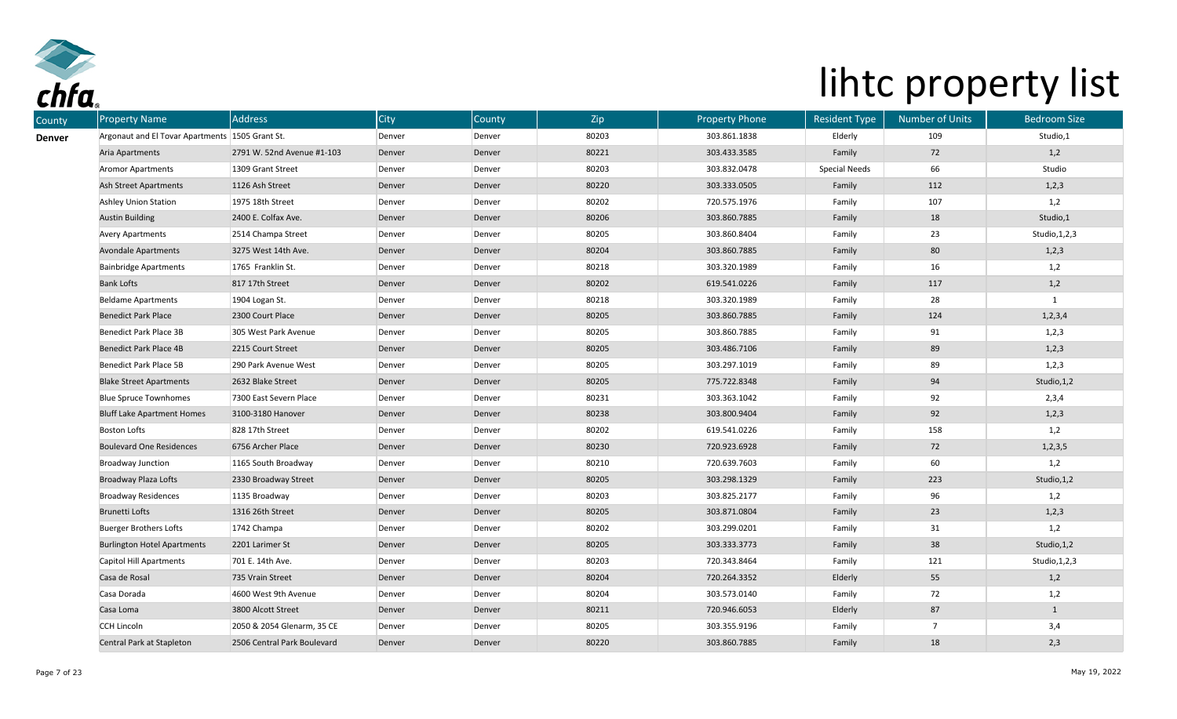

| <b>Property Name</b>                            | Address                     | <b>City</b> | County | Zip   | <b>Property Phone</b> | <b>Resident Type</b> | <b>Number of Units</b> | <b>Bedroom Size</b> |
|-------------------------------------------------|-----------------------------|-------------|--------|-------|-----------------------|----------------------|------------------------|---------------------|
| Argonaut and El Tovar Apartments 1505 Grant St. |                             | Denver      | Denver | 80203 | 303.861.1838          | Elderly              | 109                    | Studio,1            |
| Aria Apartments                                 | 2791 W. 52nd Avenue #1-103  | Denver      | Denver | 80221 | 303.433.3585          | Family               | 72                     | 1,2                 |
| <b>Aromor Apartments</b>                        | 1309 Grant Street           | Denver      | Denver | 80203 | 303.832.0478          | <b>Special Needs</b> | 66                     | Studio              |
| Ash Street Apartments                           | 1126 Ash Street             | Denver      | Denver | 80220 | 303.333.0505          | Family               | 112                    | 1,2,3               |
| <b>Ashley Union Station</b>                     | 1975 18th Street            | Denver      | Denver | 80202 | 720.575.1976          | Family               | 107                    | 1,2                 |
| <b>Austin Building</b>                          | 2400 E. Colfax Ave.         | Denver      | Denver | 80206 | 303.860.7885          | Family               | 18                     | Studio,1            |
| <b>Avery Apartments</b>                         | 2514 Champa Street          | Denver      | Denver | 80205 | 303.860.8404          | Family               | 23                     | Studio, 1, 2, 3     |
| <b>Avondale Apartments</b>                      | 3275 West 14th Ave.         | Denver      | Denver | 80204 | 303.860.7885          | Family               | 80                     | 1,2,3               |
| <b>Bainbridge Apartments</b>                    | 1765 Franklin St.           | Denver      | Denver | 80218 | 303.320.1989          | Family               | 16                     | 1,2                 |
| <b>Bank Lofts</b>                               | 817 17th Street             | Denver      | Denver | 80202 | 619.541.0226          | Family               | 117                    | 1,2                 |
| <b>Beldame Apartments</b>                       | 1904 Logan St.              | Denver      | Denver | 80218 | 303.320.1989          | Family               | 28                     | 1                   |
| <b>Benedict Park Place</b>                      | 2300 Court Place            | Denver      | Denver | 80205 | 303.860.7885          | Family               | 124                    | 1, 2, 3, 4          |
| Benedict Park Place 3B                          | 305 West Park Avenue        | Denver      | Denver | 80205 | 303.860.7885          | Family               | 91                     | 1,2,3               |
| <b>Benedict Park Place 4B</b>                   | 2215 Court Street           | Denver      | Denver | 80205 | 303.486.7106          | Family               | 89                     | 1, 2, 3             |
| Benedict Park Place 5B                          | 290 Park Avenue West        | Denver      | Denver | 80205 | 303.297.1019          | Family               | 89                     | 1,2,3               |
| <b>Blake Street Apartments</b>                  | 2632 Blake Street           | Denver      | Denver | 80205 | 775.722.8348          | Family               | 94                     | Studio, 1,2         |
| <b>Blue Spruce Townhomes</b>                    | 7300 East Severn Place      | Denver      | Denver | 80231 | 303.363.1042          | Family               | 92                     | 2,3,4               |
| <b>Bluff Lake Apartment Homes</b>               | 3100-3180 Hanover           | Denver      | Denver | 80238 | 303.800.9404          | Family               | 92                     | 1,2,3               |
| <b>Boston Lofts</b>                             | 828 17th Street             | Denver      | Denver | 80202 | 619.541.0226          | Family               | 158                    | 1,2                 |
| <b>Boulevard One Residences</b>                 | 6756 Archer Place           | Denver      | Denver | 80230 | 720.923.6928          | Family               | 72                     | 1, 2, 3, 5          |
| Broadway Junction                               | 1165 South Broadway         | Denver      | Denver | 80210 | 720.639.7603          | Family               | 60                     | 1,2                 |
| <b>Broadway Plaza Lofts</b>                     | 2330 Broadway Street        | Denver      | Denver | 80205 | 303.298.1329          | Family               | 223                    | Studio, 1,2         |
| <b>Broadway Residences</b>                      | 1135 Broadway               | Denver      | Denver | 80203 | 303.825.2177          | Family               | 96                     | 1,2                 |
| Brunetti Lofts                                  | 1316 26th Street            | Denver      | Denver | 80205 | 303.871.0804          | Family               | 23                     | 1,2,3               |
| <b>Buerger Brothers Lofts</b>                   | 1742 Champa                 | Denver      | Denver | 80202 | 303.299.0201          | Family               | 31                     | 1,2                 |
| <b>Burlington Hotel Apartments</b>              | 2201 Larimer St             | Denver      | Denver | 80205 | 303.333.3773          | Family               | 38                     | Studio, 1, 2        |
| Capitol Hill Apartments                         | 701 E. 14th Ave.            | Denver      | Denver | 80203 | 720.343.8464          | Family               | 121                    | Studio, 1, 2, 3     |
| Casa de Rosal                                   | 735 Vrain Street            | Denver      | Denver | 80204 | 720.264.3352          | Elderly              | 55                     | 1,2                 |
| Casa Dorada                                     | 4600 West 9th Avenue        | Denver      | Denver | 80204 | 303.573.0140          | Family               | 72                     | 1,2                 |
| Casa Loma                                       | 3800 Alcott Street          | Denver      | Denver | 80211 | 720.946.6053          | Elderly              | 87                     | $\mathbf{1}$        |
| <b>CCH Lincoln</b>                              | 2050 & 2054 Glenarm, 35 CE  | Denver      | Denver | 80205 | 303.355.9196          | Family               | $\overline{7}$         | 3,4                 |
| Central Park at Stapleton                       | 2506 Central Park Boulevard | Denver      | Denver | 80220 | 303.860.7885          | Family               | 18                     | 2,3                 |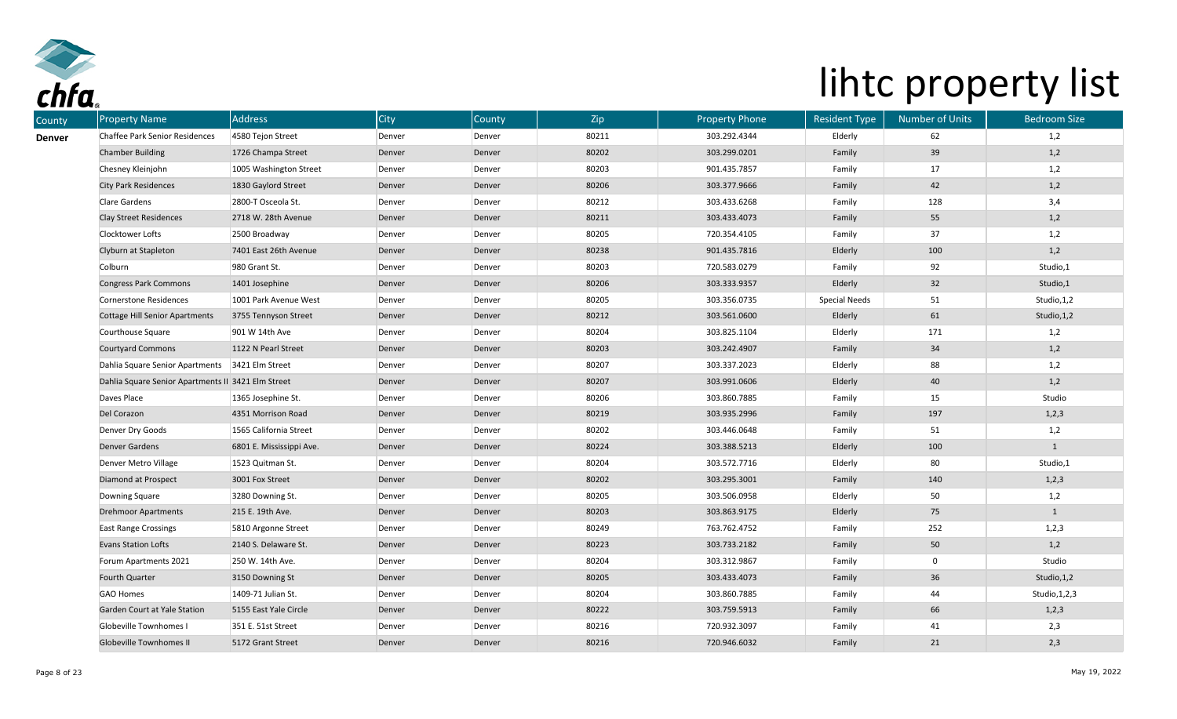

| <b>Property Name</b><br>County |                                                    | Address                  | <b>City</b> | County | Zip   | <b>Property Phone</b> | <b>Resident Type</b> | <b>Number of Units</b> | <b>Bedroom Size</b> |
|--------------------------------|----------------------------------------------------|--------------------------|-------------|--------|-------|-----------------------|----------------------|------------------------|---------------------|
| <b>Denver</b>                  | Chaffee Park Senior Residences                     | 4580 Tejon Street        | Denver      | Denver | 80211 | 303.292.4344          | Elderly              | 62                     | 1,2                 |
| <b>Chamber Building</b>        |                                                    | 1726 Champa Street       | Denver      | Denver | 80202 | 303.299.0201          | Family               | 39                     | 1,2                 |
| Chesney Kleinjohn              |                                                    | 1005 Washington Street   | Denver      | Denver | 80203 | 901.435.7857          | Family               | 17                     | 1,2                 |
| <b>City Park Residences</b>    |                                                    | 1830 Gaylord Street      | Denver      | Denver | 80206 | 303.377.9666          | Family               | 42                     | 1,2                 |
| <b>Clare Gardens</b>           |                                                    | 2800-T Osceola St.       | Denver      | Denver | 80212 | 303.433.6268          | Family               | 128                    | 3,4                 |
| <b>Clay Street Residences</b>  |                                                    | 2718 W. 28th Avenue      | Denver      | Denver | 80211 | 303.433.4073          | Family               | 55                     | 1,2                 |
| Clocktower Lofts               |                                                    | 2500 Broadway            | Denver      | Denver | 80205 | 720.354.4105          | Family               | 37                     | 1,2                 |
| Clyburn at Stapleton           |                                                    | 7401 East 26th Avenue    | Denver      | Denver | 80238 | 901.435.7816          | Elderly              | 100                    | 1,2                 |
| Colburn                        |                                                    | 980 Grant St.            | Denver      | Denver | 80203 | 720.583.0279          | Family               | 92                     | Studio,1            |
| <b>Congress Park Commons</b>   |                                                    | 1401 Josephine           | Denver      | Denver | 80206 | 303.333.9357          | Elderly              | 32                     | Studio,1            |
| Cornerstone Residences         |                                                    | 1001 Park Avenue West    | Denver      | Denver | 80205 | 303.356.0735          | <b>Special Needs</b> | 51                     | Studio, 1,2         |
|                                | <b>Cottage Hill Senior Apartments</b>              | 3755 Tennyson Street     | Denver      | Denver | 80212 | 303.561.0600          | Elderly              | 61                     | Studio, 1, 2        |
| Courthouse Square              |                                                    | 901 W 14th Ave           | Denver      | Denver | 80204 | 303.825.1104          | Elderly              | 171                    | 1,2                 |
| <b>Courtyard Commons</b>       |                                                    | 1122 N Pearl Street      | Denver      | Denver | 80203 | 303.242.4907          | Family               | 34                     | 1,2                 |
|                                | Dahlia Square Senior Apartments 3421 Elm Street    |                          | Denver      | Denver | 80207 | 303.337.2023          | Elderly              | 88                     | 1,2                 |
|                                | Dahlia Square Senior Apartments II 3421 Elm Street |                          | Denver      | Denver | 80207 | 303.991.0606          | Elderly              | 40                     | 1,2                 |
| Daves Place                    |                                                    | 1365 Josephine St.       | Denver      | Denver | 80206 | 303.860.7885          | Family               | 15                     | Studio              |
| Del Corazon                    |                                                    | 4351 Morrison Road       | Denver      | Denver | 80219 | 303.935.2996          | Family               | 197                    | 1,2,3               |
| Denver Dry Goods               |                                                    | 1565 California Street   | Denver      | Denver | 80202 | 303.446.0648          | Family               | 51                     | 1,2                 |
| <b>Denver Gardens</b>          |                                                    | 6801 E. Mississippi Ave. | Denver      | Denver | 80224 | 303.388.5213          | Elderly              | 100                    | $\mathbf{1}$        |
| Denver Metro Village           |                                                    | 1523 Quitman St.         | Denver      | Denver | 80204 | 303.572.7716          | Elderly              | 80                     | Studio,1            |
| Diamond at Prospect            |                                                    | 3001 Fox Street          | Denver      | Denver | 80202 | 303.295.3001          | Family               | 140                    | 1,2,3               |
| Downing Square                 |                                                    | 3280 Downing St.         | Denver      | Denver | 80205 | 303.506.0958          | Elderly              | 50                     | 1,2                 |
| <b>Drehmoor Apartments</b>     |                                                    | 215 E. 19th Ave.         | Denver      | Denver | 80203 | 303.863.9175          | Elderly              | 75                     |                     |
| <b>East Range Crossings</b>    |                                                    | 5810 Argonne Street      | Denver      | Denver | 80249 | 763.762.4752          | Family               | 252                    | 1,2,3               |
| <b>Evans Station Lofts</b>     |                                                    | 2140 S. Delaware St.     | Denver      | Denver | 80223 | 303.733.2182          | Family               | 50                     | 1,2                 |
| Forum Apartments 2021          |                                                    | 250 W. 14th Ave.         | Denver      | Denver | 80204 | 303.312.9867          | Family               | $\overline{0}$         | Studio              |
| Fourth Quarter                 |                                                    | 3150 Downing St          | Denver      | Denver | 80205 | 303.433.4073          | Family               | 36                     | Studio, 1, 2        |
| <b>GAO Homes</b>               |                                                    | 1409-71 Julian St.       | Denver      | Denver | 80204 | 303.860.7885          | Family               | 44                     | Studio, 1, 2, 3     |
|                                | Garden Court at Yale Station                       | 5155 East Yale Circle    | Denver      | Denver | 80222 | 303.759.5913          | Family               | 66                     | 1,2,3               |
| Globeville Townhomes I         |                                                    | 351 E. 51st Street       | Denver      | Denver | 80216 | 720.932.3097          | Family               | 41                     | 2,3                 |
| Globeville Townhomes II        |                                                    | 5172 Grant Street        | Denver      | Denver | 80216 | 720.946.6032          | Family               | 21                     | 2,3                 |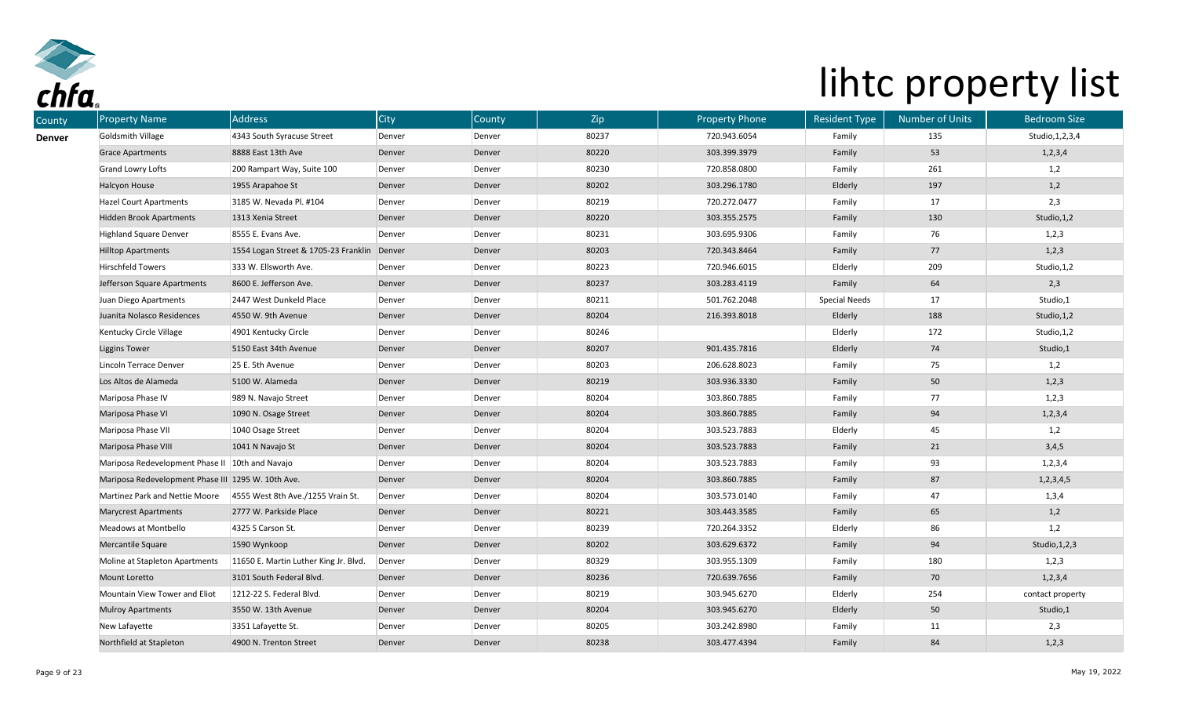

| <b>Property Name</b>                               | <b>Address</b>                        | <b>City</b> | County | Zip   | <b>Property Phone</b> | <b>Resident Type</b> | <b>Number of Units</b> | <b>Bedroom Size</b> |
|----------------------------------------------------|---------------------------------------|-------------|--------|-------|-----------------------|----------------------|------------------------|---------------------|
| Goldsmith Village                                  | 4343 South Syracuse Street            | Denver      | Denver | 80237 | 720.943.6054          | Family               | 135                    | Studio, 1, 2, 3, 4  |
| <b>Grace Apartments</b>                            | 8888 East 13th Ave                    | Denver      | Denver | 80220 | 303.399.3979          | Family               | 53                     | 1, 2, 3, 4          |
| <b>Grand Lowry Lofts</b>                           | 200 Rampart Way, Suite 100            | Denver      | Denver | 80230 | 720.858.0800          | Family               | 261                    | 1,2                 |
| Halcyon House                                      | 1955 Arapahoe St                      | Denver      | Denver | 80202 | 303.296.1780          | Elderly              | 197                    | 1,2                 |
| <b>Hazel Court Apartments</b>                      | 3185 W. Nevada Pl. #104               | Denver      | Denver | 80219 | 720.272.0477          | Family               | 17                     | 2,3                 |
| <b>Hidden Brook Apartments</b>                     | 1313 Xenia Street                     | Denver      | Denver | 80220 | 303.355.2575          | Family               | 130                    | Studio, 1, 2        |
| <b>Highland Square Denver</b>                      | 8555 E. Evans Ave.                    | Denver      | Denver | 80231 | 303.695.9306          | Family               | 76                     | 1,2,3               |
| <b>Hilltop Apartments</b>                          | 1554 Logan Street & 1705-23 Franklin  | Denver      | Denver | 80203 | 720.343.8464          | Family               | 77                     | 1, 2, 3             |
| <b>Hirschfeld Towers</b>                           | 333 W. Ellsworth Ave.                 | Denver      | Denver | 80223 | 720.946.6015          | Elderly              | 209                    | Studio, 1,2         |
| Jefferson Square Apartments                        | 8600 E. Jefferson Ave.                | Denver      | Denver | 80237 | 303.283.4119          | Family               | 64                     | 2,3                 |
| Juan Diego Apartments                              | 2447 West Dunkeld Place               | Denver      | Denver | 80211 | 501.762.2048          | <b>Special Needs</b> | 17                     | Studio,1            |
| Juanita Nolasco Residences                         | 4550 W. 9th Avenue                    | Denver      | Denver | 80204 | 216.393.8018          | Elderly              | 188                    | Studio, 1,2         |
| Kentucky Circle Village                            | 4901 Kentucky Circle                  | Denver      | Denver | 80246 |                       | Elderly              | 172                    | Studio, 1,2         |
| <b>Liggins Tower</b>                               | 5150 East 34th Avenue                 | Denver      | Denver | 80207 | 901.435.7816          | Elderly              | 74                     | Studio,1            |
| Lincoln Terrace Denver                             | 25 E. 5th Avenue                      | Denver      | Denver | 80203 | 206.628.8023          | Family               | 75                     | 1,2                 |
| Los Altos de Alameda                               | 5100 W. Alameda                       | Denver      | Denver | 80219 | 303.936.3330          | Family               | 50                     | 1, 2, 3             |
| Mariposa Phase IV                                  | 989 N. Navajo Street                  | Denver      | Denver | 80204 | 303.860.7885          | Family               | 77                     | 1,2,3               |
| Mariposa Phase VI                                  | 1090 N. Osage Street                  | Denver      | Denver | 80204 | 303.860.7885          | Family               | 94                     | 1, 2, 3, 4          |
| Mariposa Phase VII                                 | 1040 Osage Street                     | Denver      | Denver | 80204 | 303.523.7883          | Elderly              | 45                     | 1,2                 |
| Mariposa Phase VIII                                | 1041 N Navajo St                      | Denver      | Denver | 80204 | 303.523.7883          | Family               | 21                     | 3,4,5               |
| Mariposa Redevelopment Phase II                    | 10th and Navajo                       | Denver      | Denver | 80204 | 303.523.7883          | Family               | 93                     | 1, 2, 3, 4          |
| Mariposa Redevelopment Phase III 1295 W. 10th Ave. |                                       | Denver      | Denver | 80204 | 303.860.7885          | Family               | 87                     | 1,2,3,4,5           |
| Martinez Park and Nettie Moore                     | 4555 West 8th Ave./1255 Vrain St.     | Denver      | Denver | 80204 | 303.573.0140          | Family               | 47                     | 1,3,4               |
| <b>Marycrest Apartments</b>                        | 2777 W. Parkside Place                | Denver      | Denver | 80221 | 303.443.3585          | Family               | 65                     | 1,2                 |
| Meadows at Montbello                               | 4325 S Carson St.                     | Denver      | Denver | 80239 | 720.264.3352          | Elderly              | 86                     | 1,2                 |
| Mercantile Square                                  | 1590 Wynkoop                          | Denver      | Denver | 80202 | 303.629.6372          | Family               | 94                     | Studio, 1, 2, 3     |
| Moline at Stapleton Apartments                     | 11650 E. Martin Luther King Jr. Blvd. | Denver      | Denver | 80329 | 303.955.1309          | Family               | 180                    | 1,2,3               |
| Mount Loretto                                      | 3101 South Federal Blvd.              | Denver      | Denver | 80236 | 720.639.7656          | Family               | 70                     | 1, 2, 3, 4          |
| Mountain View Tower and Eliot                      | 1212-22 S. Federal Blvd.              | Denver      | Denver | 80219 | 303.945.6270          | Elderly              | 254                    | contact property    |
| <b>Mulroy Apartments</b>                           | 3550 W. 13th Avenue                   | Denver      | Denver | 80204 | 303.945.6270          | Elderly              | 50                     | Studio,1            |
| New Lafayette                                      | 3351 Lafayette St.                    | Denver      | Denver | 80205 | 303.242.8980          | Family               | 11                     | 2,3                 |
| Northfield at Stapleton                            | 4900 N. Trenton Street                | Denver      | Denver | 80238 | 303.477.4394          | Family               | 84                     | 1,2,3               |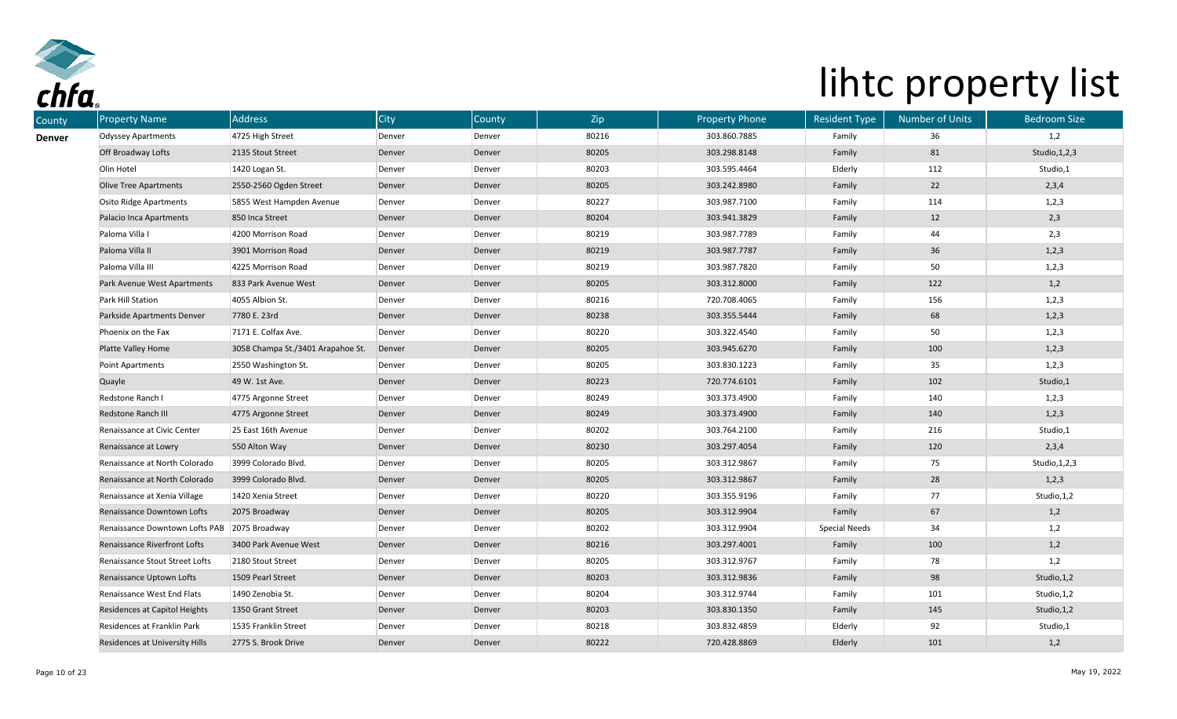

| County        | <b>Property Name</b>                         | Address                           | <b>City</b> | County | Zip   | <b>Property Phone</b> | <b>Resident Type</b> | <b>Number of Units</b> | <b>Bedroom Size</b> |
|---------------|----------------------------------------------|-----------------------------------|-------------|--------|-------|-----------------------|----------------------|------------------------|---------------------|
| <b>Denver</b> | <b>Odyssey Apartments</b>                    | 4725 High Street                  | Denver      | Denver | 80216 | 303.860.7885          | Family               | 36                     | 1,2                 |
|               | Off Broadway Lofts                           | 2135 Stout Street                 | Denver      | Denver | 80205 | 303.298.8148          | Family               | 81                     | Studio, 1, 2, 3     |
|               | Olin Hotel                                   | 1420 Logan St.                    | Denver      | Denver | 80203 | 303.595.4464          | Elderly              | 112                    | Studio,1            |
|               | <b>Olive Tree Apartments</b>                 | 2550-2560 Ogden Street            | Denver      | Denver | 80205 | 303.242.8980          | Family               | 22                     | 2,3,4               |
|               | Osito Ridge Apartments                       | 5855 West Hampden Avenue          | Denver      | Denver | 80227 | 303.987.7100          | Family               | 114                    | 1,2,3               |
|               | Palacio Inca Apartments                      | 850 Inca Street                   | Denver      | Denver | 80204 | 303.941.3829          | Family               | 12                     | 2,3                 |
|               | Paloma Villa I                               | 4200 Morrison Road                | Denver      | Denver | 80219 | 303.987.7789          | Family               | 44                     | 2,3                 |
|               | Paloma Villa II                              | 3901 Morrison Road                | Denver      | Denver | 80219 | 303.987.7787          | Family               | 36                     | 1,2,3               |
|               | Paloma Villa III                             | 4225 Morrison Road                | Denver      | Denver | 80219 | 303.987.7820          | Family               | 50                     | 1,2,3               |
|               | Park Avenue West Apartments                  | 833 Park Avenue West              | Denver      | Denver | 80205 | 303.312.8000          | Family               | 122                    | 1,2                 |
|               | Park Hill Station                            | 4055 Albion St.                   | Denver      | Denver | 80216 | 720.708.4065          | Family               | 156                    | 1,2,3               |
|               | Parkside Apartments Denver                   | 7780 E. 23rd                      | Denver      | Denver | 80238 | 303.355.5444          | Family               | 68                     | 1,2,3               |
|               | Phoenix on the Fax                           | 7171 E. Colfax Ave.               | Denver      | Denver | 80220 | 303.322.4540          | Family               | 50                     | 1,2,3               |
|               | Platte Valley Home                           | 3058 Champa St./3401 Arapahoe St. | Denver      | Denver | 80205 | 303.945.6270          | Family               | 100                    | 1,2,3               |
|               | Point Apartments                             | 2550 Washington St.               | Denver      | Denver | 80205 | 303.830.1223          | Family               | 35                     | 1,2,3               |
|               | Quayle                                       | 49 W. 1st Ave.                    | Denver      | Denver | 80223 | 720.774.6101          | Family               | 102                    | Studio,1            |
|               | Redstone Ranch I                             | 4775 Argonne Street               | Denver      | Denver | 80249 | 303.373.4900          | Family               | 140                    | 1,2,3               |
|               | Redstone Ranch III                           | 4775 Argonne Street               | Denver      | Denver | 80249 | 303.373.4900          | Family               | 140                    | 1,2,3               |
|               | Renaissance at Civic Center                  | 25 East 16th Avenue               | Denver      | Denver | 80202 | 303.764.2100          | Family               | 216                    | Studio,1            |
|               | Renaissance at Lowry                         | 550 Alton Way                     | Denver      | Denver | 80230 | 303.297.4054          | Family               | 120                    | 2,3,4               |
|               | Renaissance at North Colorado                | 3999 Colorado Blvd.               | Denver      | Denver | 80205 | 303.312.9867          | Family               | 75                     | Studio, 1, 2, 3     |
|               | Renaissance at North Colorado                | 3999 Colorado Blvd.               | Denver      | Denver | 80205 | 303.312.9867          | Family               | 28                     | 1,2,3               |
|               | Renaissance at Xenia Village                 | 1420 Xenia Street                 | Denver      | Denver | 80220 | 303.355.9196          | Family               | 77                     | Studio, 1,2         |
|               | Renaissance Downtown Lofts                   | 2075 Broadway                     | Denver      | Denver | 80205 | 303.312.9904          | Family               | 67                     | 1,2                 |
|               | Renaissance Downtown Lofts PAB 2075 Broadway |                                   | Denver      | Denver | 80202 | 303.312.9904          | <b>Special Needs</b> | 34                     | 1,2                 |
|               | Renaissance Riverfront Lofts                 | 3400 Park Avenue West             | Denver      | Denver | 80216 | 303.297.4001          | Family               | 100                    | 1,2                 |
|               | Renaissance Stout Street Lofts               | 2180 Stout Street                 | Denver      | Denver | 80205 | 303.312.9767          | Family               | 78                     | 1,2                 |
|               | Renaissance Uptown Lofts                     | 1509 Pearl Street                 | Denver      | Denver | 80203 | 303.312.9836          | Family               | 98                     | Studio, 1, 2        |
|               | Renaissance West End Flats                   | 1490 Zenobia St.                  | Denver      | Denver | 80204 | 303.312.9744          | Family               | 101                    | Studio, 1,2         |
|               | Residences at Capitol Heights                | 1350 Grant Street                 | Denver      | Denver | 80203 | 303.830.1350          | Family               | 145                    | Studio, 1, 2        |
|               | Residences at Franklin Park                  | 1535 Franklin Street              | Denver      | Denver | 80218 | 303.832.4859          | Elderly              | 92                     | Studio,1            |
|               | Residences at University Hills               | 2775 S. Brook Drive               | Denver      | Denver | 80222 | 720.428.8869          | Elderly              | 101                    | 1,2                 |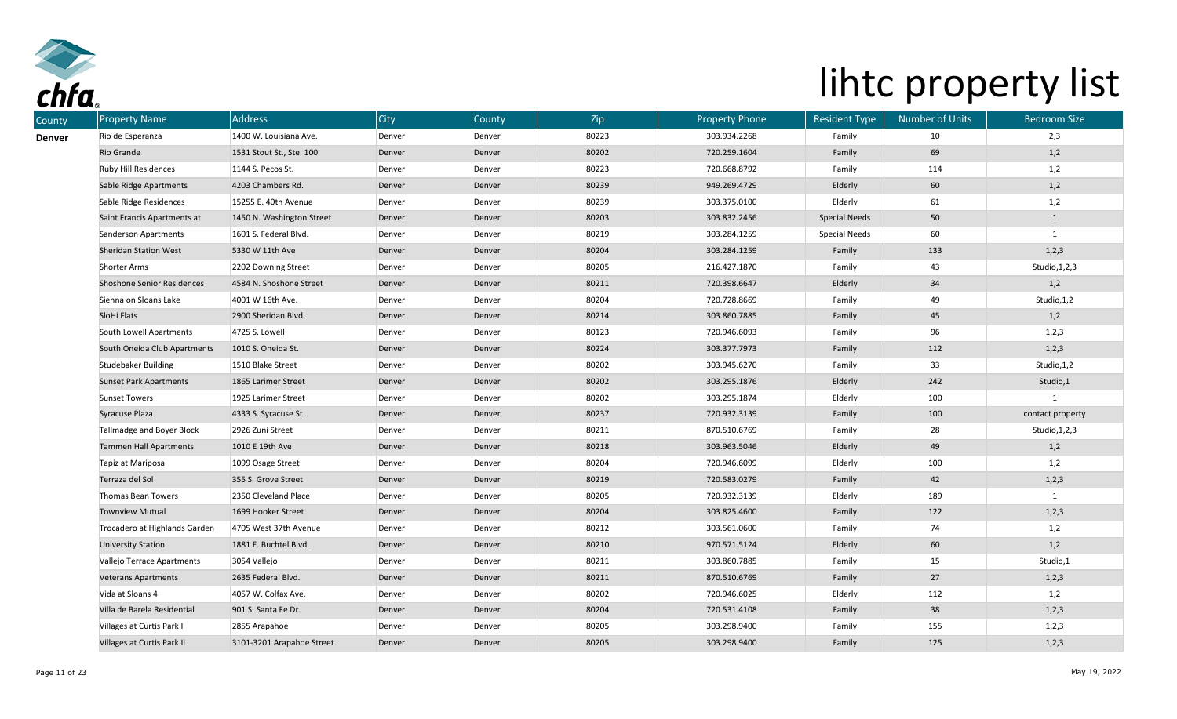

| County | <b>Property Name</b>              | <b>Address</b>            | <b>City</b> | County | Zip   | <b>Property Phone</b> | <b>Resident Type</b> | <b>Number of Units</b> | <b>Bedroom Size</b> |
|--------|-----------------------------------|---------------------------|-------------|--------|-------|-----------------------|----------------------|------------------------|---------------------|
| Denver | Rio de Esperanza                  | 1400 W. Louisiana Ave.    | Denver      | Denver | 80223 | 303.934.2268          | Family               | 10                     | 2,3                 |
|        | Rio Grande                        | 1531 Stout St., Ste. 100  | Denver      | Denver | 80202 | 720.259.1604          | Family               | 69                     | 1,2                 |
|        | Ruby Hill Residences              | 1144 S. Pecos St.         | Denver      | Denver | 80223 | 720.668.8792          | Family               | 114                    | 1,2                 |
|        | Sable Ridge Apartments            | 4203 Chambers Rd.         | Denver      | Denver | 80239 | 949.269.4729          | Elderly              | 60                     | 1,2                 |
|        | Sable Ridge Residences            | 15255 E. 40th Avenue      | Denver      | Denver | 80239 | 303.375.0100          | Elderly              | 61                     | 1,2                 |
|        | Saint Francis Apartments at       | 1450 N. Washington Street | Denver      | Denver | 80203 | 303.832.2456          | <b>Special Needs</b> | 50                     | $\mathbf{1}$        |
|        | Sanderson Apartments              | 1601 S. Federal Blvd.     | Denver      | Denver | 80219 | 303.284.1259          | <b>Special Needs</b> | 60                     | $\mathbf{1}$        |
|        | <b>Sheridan Station West</b>      | 5330 W 11th Ave           | Denver      | Denver | 80204 | 303.284.1259          | Family               | 133                    | 1,2,3               |
|        | <b>Shorter Arms</b>               | 2202 Downing Street       | Denver      | Denver | 80205 | 216.427.1870          | Family               | 43                     | Studio, 1, 2, 3     |
|        | <b>Shoshone Senior Residences</b> | 4584 N. Shoshone Street   | Denver      | Denver | 80211 | 720.398.6647          | Elderly              | 34                     | 1,2                 |
|        | Sienna on Sloans Lake             | 4001 W 16th Ave.          | Denver      | Denver | 80204 | 720.728.8669          | Family               | 49                     | Studio, 1,2         |
|        | SloHi Flats                       | 2900 Sheridan Blvd.       | Denver      | Denver | 80214 | 303.860.7885          | Family               | 45                     | 1,2                 |
|        | South Lowell Apartments           | 4725 S. Lowell            | Denver      | Denver | 80123 | 720.946.6093          | Family               | 96                     | 1,2,3               |
|        | South Oneida Club Apartments      | 1010 S. Oneida St.        | Denver      | Denver | 80224 | 303.377.7973          | Family               | 112                    | 1,2,3               |
|        | Studebaker Building               | 1510 Blake Street         | Denver      | Denver | 80202 | 303.945.6270          | Family               | 33                     | Studio, 1,2         |
|        | <b>Sunset Park Apartments</b>     | 1865 Larimer Street       | Denver      | Denver | 80202 | 303.295.1876          | Elderly              | 242                    | Studio,1            |
|        | <b>Sunset Towers</b>              | 1925 Larimer Street       | Denver      | Denver | 80202 | 303.295.1874          | Elderly              | 100                    |                     |
|        | Syracuse Plaza                    | 4333 S. Syracuse St.      | Denver      | Denver | 80237 | 720.932.3139          | Family               | 100                    | contact property    |
|        | Tallmadge and Boyer Block         | 2926 Zuni Street          | Denver      | Denver | 80211 | 870.510.6769          | Family               | 28                     | Studio, 1, 2, 3     |
|        | Tammen Hall Apartments            | 1010 E 19th Ave           | Denver      | Denver | 80218 | 303.963.5046          | Elderly              | 49                     | 1,2                 |
|        | Tapiz at Mariposa                 | 1099 Osage Street         | Denver      | Denver | 80204 | 720.946.6099          | Elderly              | 100                    | 1,2                 |
|        | Terraza del Sol                   | 355 S. Grove Street       | Denver      | Denver | 80219 | 720.583.0279          | Family               | 42                     | 1,2,3               |
|        | Thomas Bean Towers                | 2350 Cleveland Place      | Denver      | Denver | 80205 | 720.932.3139          | Elderly              | 189                    | $\mathbf{1}$        |
|        | <b>Townview Mutual</b>            | 1699 Hooker Street        | Denver      | Denver | 80204 | 303.825.4600          | Family               | 122                    | 1,2,3               |
|        | Trocadero at Highlands Garden     | 4705 West 37th Avenue     | Denver      | Denver | 80212 | 303.561.0600          | Family               | 74                     | 1,2                 |
|        | <b>University Station</b>         | 1881 E. Buchtel Blvd.     | Denver      | Denver | 80210 | 970.571.5124          | Elderly              | 60                     | 1,2                 |
|        | Vallejo Terrace Apartments        | 3054 Vallejo              | Denver      | Denver | 80211 | 303.860.7885          | Family               | 15                     | Studio,1            |
|        | <b>Veterans Apartments</b>        | 2635 Federal Blvd.        | Denver      | Denver | 80211 | 870.510.6769          | Family               | 27                     | 1, 2, 3             |
|        | Vida at Sloans 4                  | 4057 W. Colfax Ave.       | Denver      | Denver | 80202 | 720.946.6025          | Elderly              | 112                    | 1,2                 |
|        | Villa de Barela Residential       | 901 S. Santa Fe Dr.       | Denver      | Denver | 80204 | 720.531.4108          | Family               | 38                     | 1,2,3               |
|        | Villages at Curtis Park I         | 2855 Arapahoe             | Denver      | Denver | 80205 | 303.298.9400          | Family               | 155                    | 1,2,3               |
|        | Villages at Curtis Park II        | 3101-3201 Arapahoe Street | Denver      | Denver | 80205 | 303.298.9400          | Family               | 125                    | 1,2,3               |
|        |                                   |                           |             |        |       |                       |                      |                        |                     |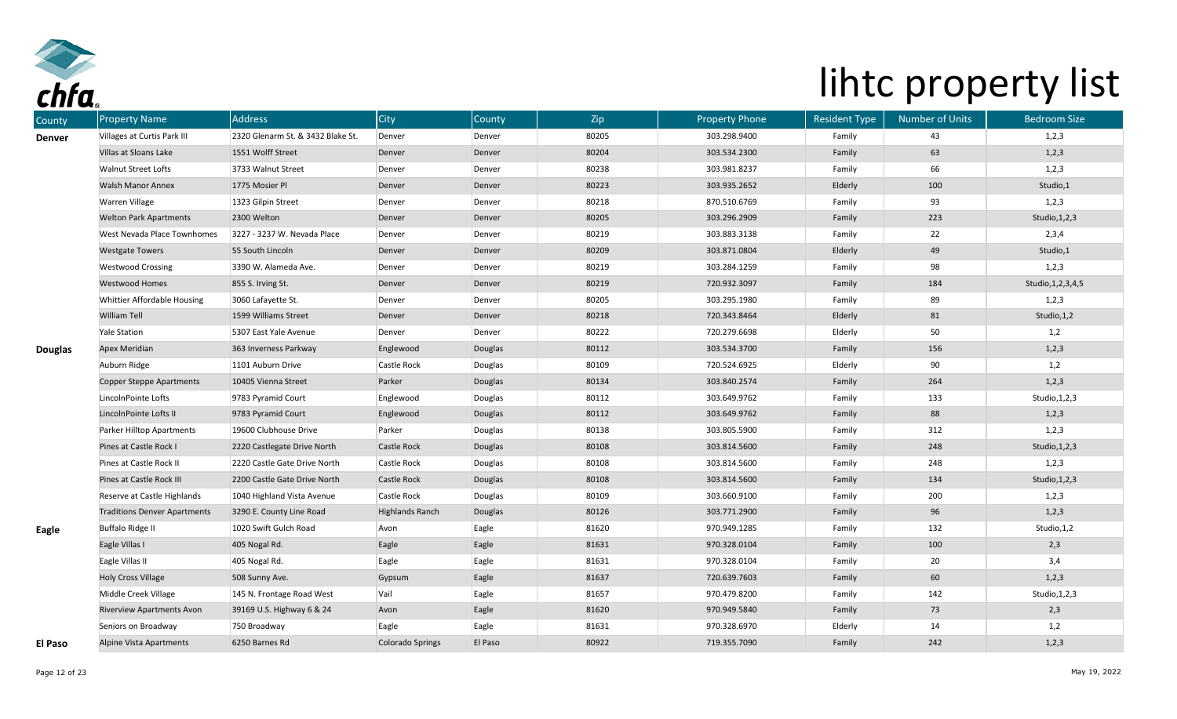

| County        | <b>Property Name</b>                | <b>Address</b>                    | City                   | County  | Zip   | <b>Property Phone</b> | <b>Resident Type</b> | <b>Number of Units</b> | <b>Bedroom Size</b>   |
|---------------|-------------------------------------|-----------------------------------|------------------------|---------|-------|-----------------------|----------------------|------------------------|-----------------------|
| <b>Denver</b> | Villages at Curtis Park III         | 2320 Glenarm St. & 3432 Blake St. | Denver                 | Denver  | 80205 | 303.298.9400          | Family               | 43                     | 1,2,3                 |
|               | Villas at Sloans Lake               | 1551 Wolff Street                 | Denver                 | Denver  | 80204 | 303.534.2300          | Family               | 63                     | 1,2,3                 |
|               | <b>Walnut Street Lofts</b>          | 3733 Walnut Street                | Denver                 | Denver  | 80238 | 303.981.8237          | Family               | 66                     | 1,2,3                 |
|               | <b>Walsh Manor Annex</b>            | 1775 Mosier Pl                    | Denver                 | Denver  | 80223 | 303.935.2652          | Elderly              | 100                    | Studio,1              |
|               | Warren Village                      | 1323 Gilpin Street                | Denver                 | Denver  | 80218 | 870.510.6769          | Family               | 93                     | 1,2,3                 |
|               | <b>Welton Park Apartments</b>       | 2300 Welton                       | Denver                 | Denver  | 80205 | 303.296.2909          | Family               | 223                    | Studio, 1, 2, 3       |
|               | West Nevada Place Townhomes         | 3227 - 3237 W. Nevada Place       | Denver                 | Denver  | 80219 | 303.883.3138          | Family               | 22                     | 2,3,4                 |
|               | <b>Westgate Towers</b>              | 55 South Lincoln                  | Denver                 | Denver  | 80209 | 303.871.0804          | Elderly              | 49                     | Studio,1              |
|               | <b>Westwood Crossing</b>            | 3390 W. Alameda Ave.              | Denver                 | Denver  | 80219 | 303.284.1259          | Family               | 98                     | 1,2,3                 |
|               | <b>Westwood Homes</b>               | 855 S. Irving St.                 | Denver                 | Denver  | 80219 | 720.932.3097          | Family               | 184                    | Studio, 1, 2, 3, 4, 5 |
|               | Whittier Affordable Housing         | 3060 Lafayette St.                | Denver                 | Denver  | 80205 | 303.295.1980          | Family               | 89                     | 1,2,3                 |
|               | William Tell                        | 1599 Williams Street              | Denver                 | Denver  | 80218 | 720.343.8464          | Elderly              | 81                     | Studio, 1, 2          |
|               | <b>Yale Station</b>                 | 5307 East Yale Avenue             | Denver                 | Denver  | 80222 | 720.279.6698          | Elderly              | 50                     | 1,2                   |
| Douglas       | Apex Meridian                       | 363 Inverness Parkway             | Englewood              | Douglas | 80112 | 303.534.3700          | Family               | 156                    | 1, 2, 3               |
|               | Auburn Ridge                        | 1101 Auburn Drive                 | <b>Castle Rock</b>     | Douglas | 80109 | 720.524.6925          | Elderly              | 90                     | 1,2                   |
|               | <b>Copper Steppe Apartments</b>     | 10405 Vienna Street               | Parker                 | Douglas | 80134 | 303.840.2574          | Family               | 264                    | 1, 2, 3               |
|               | LincolnPointe Lofts                 | 9783 Pyramid Court                | Englewood              | Douglas | 80112 | 303.649.9762          | Family               | 133                    | Studio, 1, 2, 3       |
|               | LincolnPointe Lofts II              | 9783 Pyramid Court                | Englewood              | Douglas | 80112 | 303.649.9762          | Family               | 88                     | 1,2,3                 |
|               | Parker Hilltop Apartments           | 19600 Clubhouse Drive             | Parker                 | Douglas | 80138 | 303.805.5900          | Family               | 312                    | 1,2,3                 |
|               | Pines at Castle Rock I              | 2220 Castlegate Drive North       | <b>Castle Rock</b>     | Douglas | 80108 | 303.814.5600          | Family               | 248                    | Studio, 1, 2, 3       |
|               | Pines at Castle Rock II             | 2220 Castle Gate Drive North      | Castle Rock            | Douglas | 80108 | 303.814.5600          | Family               | 248                    | 1,2,3                 |
|               | Pines at Castle Rock III            | 2200 Castle Gate Drive North      | <b>Castle Rock</b>     | Douglas | 80108 | 303.814.5600          | Family               | 134                    | Studio, 1, 2, 3       |
|               | Reserve at Castle Highlands         | 1040 Highland Vista Avenue        | Castle Rock            | Douglas | 80109 | 303.660.9100          | Family               | 200                    | 1,2,3                 |
|               | <b>Traditions Denver Apartments</b> | 3290 E. County Line Road          | <b>Highlands Ranch</b> | Douglas | 80126 | 303.771.2900          | Family               | 96                     | 1,2,3                 |
| Eagle         | <b>Buffalo Ridge II</b>             | 1020 Swift Gulch Road             | Avon                   | Eagle   | 81620 | 970.949.1285          | Family               | 132                    | Studio, 1,2           |
|               | Eagle Villas I                      | 405 Nogal Rd.                     | Eagle                  | Eagle   | 81631 | 970.328.0104          | Family               | 100                    | 2,3                   |
|               | Eagle Villas II                     | 405 Nogal Rd.                     | Eagle                  | Eagle   | 81631 | 970.328.0104          | Family               | 20                     | 3,4                   |
|               | <b>Holy Cross Village</b>           | 508 Sunny Ave.                    | Gypsum                 | Eagle   | 81637 | 720.639.7603          | Family               | 60                     | 1,2,3                 |
|               | Middle Creek Village                | 145 N. Frontage Road West         | Vail                   | Eagle   | 81657 | 970.479.8200          | Family               | 142                    | Studio, 1, 2, 3       |
|               | <b>Riverview Apartments Avon</b>    | 39169 U.S. Highway 6 & 24         | Avon                   | Eagle   | 81620 | 970.949.5840          | Family               | 73                     | 2,3                   |
|               | Seniors on Broadway                 | 750 Broadway                      | Eagle                  | Eagle   | 81631 | 970.328.6970          | Elderly              | 14                     | 1,2                   |
| El Paso       | Alpine Vista Apartments             | 6250 Barnes Rd                    | Colorado Springs       | El Paso | 80922 | 719.355.7090          | Family               | 242                    | 1, 2, 3               |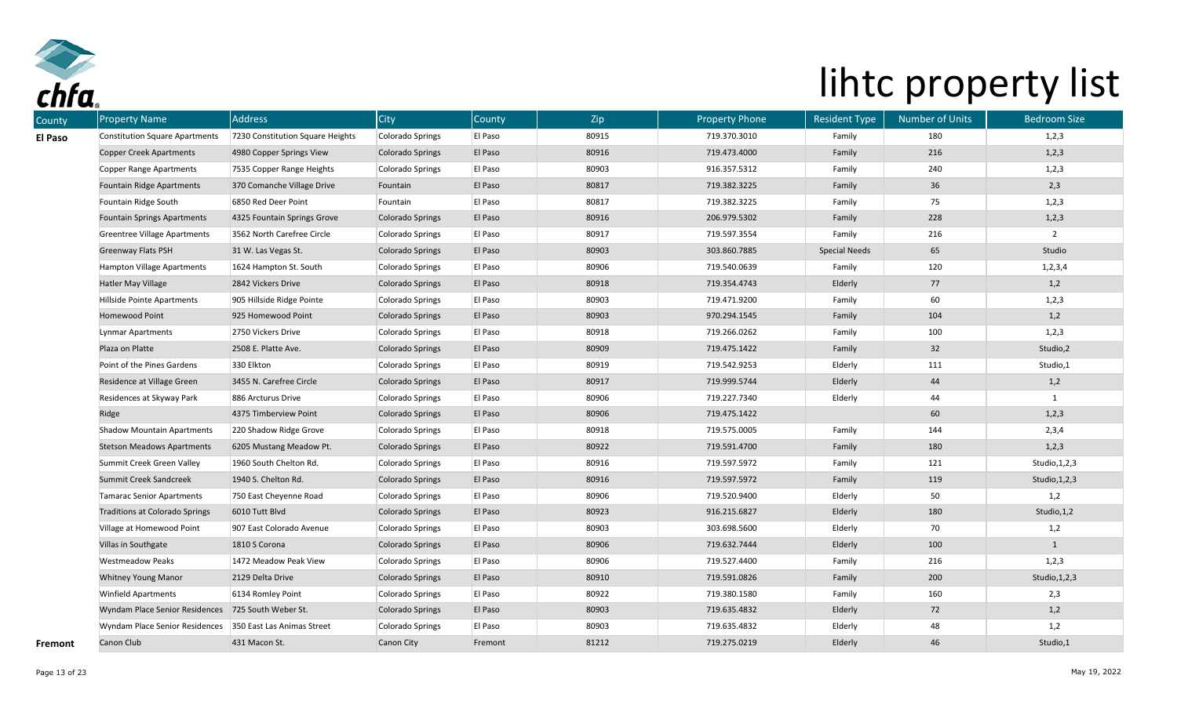

| County  | <b>Property Name</b>                               | <b>Address</b>                   | City                    | County  | Zip   | <b>Property Phone</b> | <b>Resident Type</b> | <b>Number of Units</b> | <b>Bedroom Size</b> |
|---------|----------------------------------------------------|----------------------------------|-------------------------|---------|-------|-----------------------|----------------------|------------------------|---------------------|
| El Paso | <b>Constitution Square Apartments</b>              | 7230 Constitution Square Heights | Colorado Springs        | El Paso | 80915 | 719.370.3010          | Family               | 180                    | 1,2,3               |
|         | <b>Copper Creek Apartments</b>                     | 4980 Copper Springs View         | <b>Colorado Springs</b> | El Paso | 80916 | 719.473.4000          | Family               | 216                    | 1,2,3               |
|         | Copper Range Apartments                            | 7535 Copper Range Heights        | Colorado Springs        | El Paso | 80903 | 916.357.5312          | Family               | 240                    | 1,2,3               |
|         | Fountain Ridge Apartments                          | 370 Comanche Village Drive       | Fountain                | El Paso | 80817 | 719.382.3225          | Family               | 36                     | 2,3                 |
|         | Fountain Ridge South                               | 6850 Red Deer Point              | Fountain                | El Paso | 80817 | 719.382.3225          | Family               | 75                     | 1,2,3               |
|         | <b>Fountain Springs Apartments</b>                 | 4325 Fountain Springs Grove      | <b>Colorado Springs</b> | El Paso | 80916 | 206.979.5302          | Family               | 228                    | 1,2,3               |
|         | <b>Greentree Village Apartments</b>                | 3562 North Carefree Circle       | Colorado Springs        | El Paso | 80917 | 719.597.3554          | Family               | 216                    | $\overline{2}$      |
|         | <b>Greenway Flats PSH</b>                          | 31 W. Las Vegas St.              | <b>Colorado Springs</b> | El Paso | 80903 | 303.860.7885          | <b>Special Needs</b> | 65                     | Studio              |
|         | Hampton Village Apartments                         | 1624 Hampton St. South           | Colorado Springs        | El Paso | 80906 | 719.540.0639          | Family               | 120                    | 1, 2, 3, 4          |
|         | Hatler May Village                                 | 2842 Vickers Drive               | <b>Colorado Springs</b> | El Paso | 80918 | 719.354.4743          | Elderly              | 77                     | 1,2                 |
|         | Hillside Pointe Apartments                         | 905 Hillside Ridge Pointe        | Colorado Springs        | El Paso | 80903 | 719.471.9200          | Family               | 60                     | 1,2,3               |
|         | Homewood Point                                     | 925 Homewood Point               | <b>Colorado Springs</b> | El Paso | 80903 | 970.294.1545          | Family               | 104                    | 1,2                 |
|         | Lynmar Apartments                                  | 2750 Vickers Drive               | Colorado Springs        | El Paso | 80918 | 719.266.0262          | Family               | 100                    | 1,2,3               |
|         | Plaza on Platte                                    | 2508 E. Platte Ave.              | <b>Colorado Springs</b> | El Paso | 80909 | 719.475.1422          | Family               | 32                     | Studio,2            |
|         | Point of the Pines Gardens                         | 330 Elkton                       | Colorado Springs        | El Paso | 80919 | 719.542.9253          | Elderly              | 111                    | Studio,1            |
|         | Residence at Village Green                         | 3455 N. Carefree Circle          | <b>Colorado Springs</b> | El Paso | 80917 | 719.999.5744          | Elderly              | 44                     | 1,2                 |
|         | Residences at Skyway Park                          | 886 Arcturus Drive               | Colorado Springs        | El Paso | 80906 | 719.227.7340          | Elderly              | 44                     |                     |
|         | Ridge                                              | 4375 Timberview Point            | <b>Colorado Springs</b> | El Paso | 80906 | 719.475.1422          |                      | 60                     | 1,2,3               |
|         | <b>Shadow Mountain Apartments</b>                  | 220 Shadow Ridge Grove           | Colorado Springs        | El Paso | 80918 | 719.575.0005          | Family               | 144                    | 2,3,4               |
|         | <b>Stetson Meadows Apartments</b>                  | 6205 Mustang Meadow Pt.          | <b>Colorado Springs</b> | El Paso | 80922 | 719.591.4700          | Family               | 180                    | 1,2,3               |
|         | Summit Creek Green Valley                          | 1960 South Chelton Rd.           | Colorado Springs        | El Paso | 80916 | 719.597.5972          | Family               | 121                    | Studio, 1, 2, 3     |
|         | Summit Creek Sandcreek                             | 1940 S. Chelton Rd.              | <b>Colorado Springs</b> | El Paso | 80916 | 719.597.5972          | Family               | 119                    | Studio, 1, 2, 3     |
|         | <b>Tamarac Senior Apartments</b>                   | 750 East Cheyenne Road           | Colorado Springs        | El Paso | 80906 | 719.520.9400          | Elderly              | 50                     | 1,2                 |
|         | <b>Traditions at Colorado Springs</b>              | 6010 Tutt Blvd                   | <b>Colorado Springs</b> | El Paso | 80923 | 916.215.6827          | Elderly              | 180                    | Studio, 1, 2        |
|         | Village at Homewood Point                          | 907 East Colorado Avenue         | Colorado Springs        | El Paso | 80903 | 303.698.5600          | Elderly              | 70                     | 1,2                 |
|         | Villas in Southgate                                | 1810 S Corona                    | <b>Colorado Springs</b> | El Paso | 80906 | 719.632.7444          | Elderly              | 100                    | $\mathbf{1}$        |
|         | <b>Westmeadow Peaks</b>                            | 1472 Meadow Peak View            | Colorado Springs        | El Paso | 80906 | 719.527.4400          | Family               | 216                    | 1,2,3               |
|         | Whitney Young Manor                                | 2129 Delta Drive                 | Colorado Springs        | El Paso | 80910 | 719.591.0826          | Family               | 200                    | Studio, 1, 2, 3     |
|         | <b>Winfield Apartments</b>                         | 6134 Romley Point                | Colorado Springs        | El Paso | 80922 | 719.380.1580          | Family               | 160                    | 2,3                 |
|         | Wyndam Place Senior Residences 725 South Weber St. |                                  | <b>Colorado Springs</b> | El Paso | 80903 | 719.635.4832          | Elderly              | 72                     | 1,2                 |
|         | Wyndam Place Senior Residences                     | 350 East Las Animas Street       | Colorado Springs        | El Paso | 80903 | 719.635.4832          | Elderly              | 48                     | 1,2                 |
| Fremont | Canon Club                                         | 431 Macon St.                    | Canon City              | Fremont | 81212 | 719.275.0219          | Elderly              | 46                     | Studio,1            |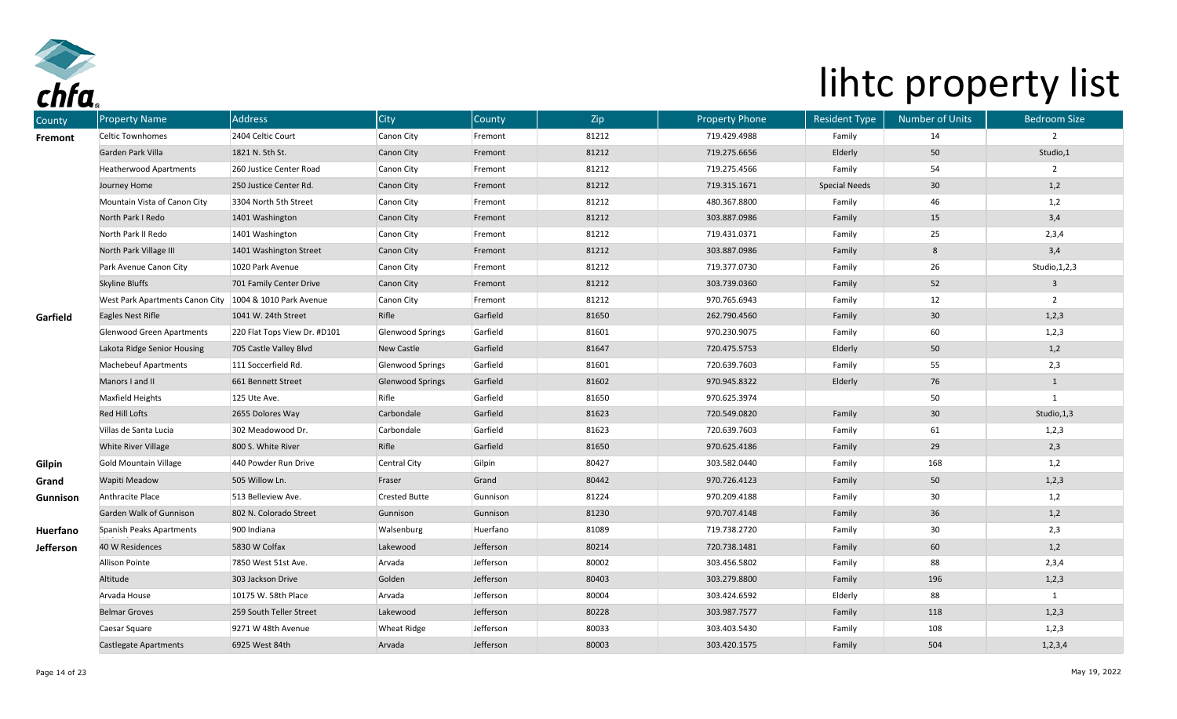

| County         | <b>Property Name</b>                                      | <b>Address</b>               | City                    | County    | Zip   | <b>Property Phone</b> | <b>Resident Type</b> | <b>Number of Units</b> | <b>Bedroom Size</b> |
|----------------|-----------------------------------------------------------|------------------------------|-------------------------|-----------|-------|-----------------------|----------------------|------------------------|---------------------|
| <b>Fremont</b> | <b>Celtic Townhomes</b>                                   | 2404 Celtic Court            | Canon City              | Fremont   | 81212 | 719.429.4988          | Family               | 14                     | $\overline{2}$      |
|                | Garden Park Villa                                         | 1821 N. 5th St.              | <b>Canon City</b>       | Fremont   | 81212 | 719.275.6656          | Elderly              | 50                     | Studio,1            |
|                | <b>Heatherwood Apartments</b>                             | 260 Justice Center Road      | Canon City              | Fremont   | 81212 | 719.275.4566          | Family               | 54                     | $\overline{2}$      |
|                | Journey Home                                              | 250 Justice Center Rd.       | Canon City              | Fremont   | 81212 | 719.315.1671          | <b>Special Needs</b> | 30                     | 1,2                 |
|                | Mountain Vista of Canon City                              | 3304 North 5th Street        | Canon City              | Fremont   | 81212 | 480.367.8800          | Family               | 46                     | 1,2                 |
|                | North Park I Redo                                         | 1401 Washington              | Canon City              | Fremont   | 81212 | 303.887.0986          | Family               | 15                     | 3,4                 |
|                | North Park II Redo                                        | 1401 Washington              | Canon City              | Fremont   | 81212 | 719.431.0371          | Family               | 25                     | 2,3,4               |
|                | North Park Village III                                    | 1401 Washington Street       | <b>Canon City</b>       | Fremont   | 81212 | 303.887.0986          | Family               | 8                      | 3,4                 |
|                | Park Avenue Canon City                                    | 1020 Park Avenue             | Canon City              | Fremont   | 81212 | 719.377.0730          | Family               | 26                     | Studio, 1, 2, 3     |
|                | Skyline Bluffs                                            | 701 Family Center Drive      | <b>Canon City</b>       | Fremont   | 81212 | 303.739.0360          | Family               | 52                     | $\overline{3}$      |
|                | West Park Apartments Canon City   1004 & 1010 Park Avenue |                              | Canon City              | Fremont   | 81212 | 970.765.6943          | Family               | 12                     | $\overline{2}$      |
| Garfield       | Eagles Nest Rifle                                         | 1041 W. 24th Street          | Rifle                   | Garfield  | 81650 | 262.790.4560          | Family               | 30                     | 1,2,3               |
|                | Glenwood Green Apartments                                 | 220 Flat Tops View Dr. #D101 | Glenwood Springs        | Garfield  | 81601 | 970.230.9075          | Family               | 60                     | 1,2,3               |
|                | Lakota Ridge Senior Housing                               | 705 Castle Valley Blvd       | New Castle              | Garfield  | 81647 | 720.475.5753          | Elderly              | 50                     | 1,2                 |
|                | <b>Machebeuf Apartments</b>                               | 111 Soccerfield Rd.          | Glenwood Springs        | Garfield  | 81601 | 720.639.7603          | Family               | 55                     | 2,3                 |
|                | Manors I and II                                           | 661 Bennett Street           | <b>Glenwood Springs</b> | Garfield  | 81602 | 970.945.8322          | Elderly              | 76                     | $\mathbf{1}$        |
|                | Maxfield Heights                                          | 125 Ute Ave.                 | Rifle                   | Garfield  | 81650 | 970.625.3974          |                      | 50                     | $\overline{1}$      |
|                | Red Hill Lofts                                            | 2655 Dolores Way             | Carbondale              | Garfield  | 81623 | 720.549.0820          | Family               | 30                     | Studio, 1,3         |
|                | Villas de Santa Lucia                                     | 302 Meadowood Dr.            | Carbondale              | Garfield  | 81623 | 720.639.7603          | Family               | 61                     | 1,2,3               |
|                | White River Village                                       | 800 S. White River           | Rifle                   | Garfield  | 81650 | 970.625.4186          | Family               | 29                     | 2,3                 |
| Gilpin         | <b>Gold Mountain Village</b>                              | 440 Powder Run Drive         | Central City            | Gilpin    | 80427 | 303.582.0440          | Family               | 168                    | 1,2                 |
| Grand          | Wapiti Meadow                                             | 505 Willow Ln.               | Fraser                  | Grand     | 80442 | 970.726.4123          | Family               | $50\,$                 | 1,2,3               |
| Gunnison       | Anthracite Place                                          | 513 Belleview Ave.           | <b>Crested Butte</b>    | Gunnison  | 81224 | 970.209.4188          | Family               | 30                     | 1,2                 |
|                | Garden Walk of Gunnison                                   | 802 N. Colorado Street       | Gunnison                | Gunnison  | 81230 | 970.707.4148          | Family               | 36                     | 1,2                 |
| Huerfano       | Spanish Peaks Apartments                                  | 900 Indiana                  | Walsenburg              | Huerfano  | 81089 | 719.738.2720          | Family               | 30                     | 2,3                 |
| Jefferson      | 40 W Residences                                           | 5830 W Colfax                | Lakewood                | Jefferson | 80214 | 720.738.1481          | Family               | 60                     | 1,2                 |
|                | Allison Pointe                                            | 7850 West 51st Ave.          | Arvada                  | Jefferson | 80002 | 303.456.5802          | Family               | 88                     | 2,3,4               |
|                | Altitude                                                  | 303 Jackson Drive            | Golden                  | Jefferson | 80403 | 303.279.8800          | Family               | 196                    | 1,2,3               |
|                | Arvada House                                              | 10175 W. 58th Place          | Arvada                  | Jefferson | 80004 | 303.424.6592          | Elderly              | 88                     | $\mathbf{1}$        |
|                | <b>Belmar Groves</b>                                      | 259 South Teller Street      | Lakewood                | Jefferson | 80228 | 303.987.7577          | Family               | 118                    | 1,2,3               |
|                | Caesar Square                                             | 9271 W 48th Avenue           | <b>Wheat Ridge</b>      | Jefferson | 80033 | 303.403.5430          | Family               | 108                    | 1,2,3               |
|                | Castlegate Apartments                                     | 6925 West 84th               | Arvada                  | Jefferson | 80003 | 303.420.1575          | Family               | 504                    | 1, 2, 3, 4          |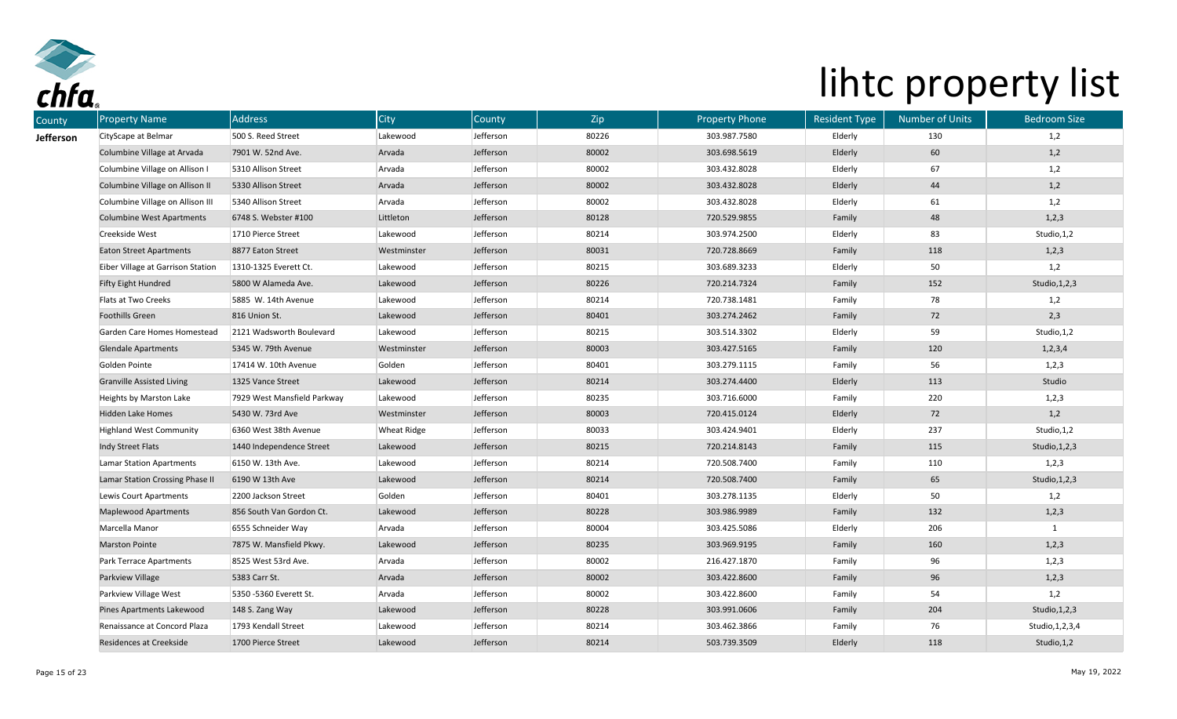

| County    | <b>Property Name</b>              | Address                     | <b>City</b>        | County    | Zip   | <b>Property Phone</b> | <b>Resident Type</b> | <b>Number of Units</b> | <b>Bedroom Size</b> |
|-----------|-----------------------------------|-----------------------------|--------------------|-----------|-------|-----------------------|----------------------|------------------------|---------------------|
| Jefferson | CityScape at Belmar               | 500 S. Reed Street          | Lakewood           | Jefferson | 80226 | 303.987.7580          | Elderly              | 130                    | 1,2                 |
|           | Columbine Village at Arvada       | 7901 W. 52nd Ave.           | Arvada             | Jefferson | 80002 | 303.698.5619          | Elderly              | 60                     | 1,2                 |
|           | Columbine Village on Allison I    | 5310 Allison Street         | Arvada             | Jefferson | 80002 | 303.432.8028          | Elderly              | 67                     | 1,2                 |
|           | Columbine Village on Allison II   | 5330 Allison Street         | Arvada             | Jefferson | 80002 | 303.432.8028          | Elderly              | 44                     | 1,2                 |
|           | Columbine Village on Allison III  | 5340 Allison Street         | Arvada             | Jefferson | 80002 | 303.432.8028          | Elderly              | 61                     | 1,2                 |
|           | <b>Columbine West Apartments</b>  | 6748 S. Webster #100        | Littleton          | Jefferson | 80128 | 720.529.9855          | Family               | 48                     | 1,2,3               |
|           | Creekside West                    | 1710 Pierce Street          | Lakewood           | Jefferson | 80214 | 303.974.2500          | Elderly              | 83                     | Studio, 1,2         |
|           | <b>Eaton Street Apartments</b>    | 8877 Eaton Street           | Westminster        | Jefferson | 80031 | 720.728.8669          | Family               | 118                    | 1,2,3               |
|           | Eiber Village at Garrison Station | 1310-1325 Everett Ct.       | Lakewood           | Jefferson | 80215 | 303.689.3233          | Elderly              | 50                     | 1,2                 |
|           | <b>Fifty Eight Hundred</b>        | 5800 W Alameda Ave.         | Lakewood           | Jefferson | 80226 | 720.214.7324          | Family               | 152                    | Studio, 1, 2, 3     |
|           | Flats at Two Creeks               | 5885 W. 14th Avenue         | Lakewood           | Jefferson | 80214 | 720.738.1481          | Family               | 78                     | 1,2                 |
|           | Foothills Green                   | 816 Union St.               | Lakewood           | Jefferson | 80401 | 303.274.2462          | Family               | 72                     | 2,3                 |
|           | Garden Care Homes Homestead       | 2121 Wadsworth Boulevard    | Lakewood           | Jefferson | 80215 | 303.514.3302          | Elderly              | 59                     | Studio, 1,2         |
|           | <b>Glendale Apartments</b>        | 5345 W. 79th Avenue         | Westminster        | Jefferson | 80003 | 303.427.5165          | Family               | 120                    | 1, 2, 3, 4          |
|           | Golden Pointe                     | 17414 W. 10th Avenue        | Golden             | Jefferson | 80401 | 303.279.1115          | Family               | 56                     | 1,2,3               |
|           | <b>Granville Assisted Living</b>  | 1325 Vance Street           | Lakewood           | Jefferson | 80214 | 303.274.4400          | Elderly              | 113                    | Studio              |
|           | Heights by Marston Lake           | 7929 West Mansfield Parkway | Lakewood           | Jefferson | 80235 | 303.716.6000          | Family               | 220                    | 1,2,3               |
|           | Hidden Lake Homes                 | 5430 W. 73rd Ave            | Westminster        | Jefferson | 80003 | 720.415.0124          | Elderly              | 72                     | 1,2                 |
|           | <b>Highland West Community</b>    | 6360 West 38th Avenue       | <b>Wheat Ridge</b> | Jefferson | 80033 | 303.424.9401          | Elderly              | 237                    | Studio, 1,2         |
|           | Indy Street Flats                 | 1440 Independence Street    | Lakewood           | Jefferson | 80215 | 720.214.8143          | Family               | 115                    | Studio, 1, 2, 3     |
|           | Lamar Station Apartments          | 6150 W. 13th Ave.           | Lakewood           | Jefferson | 80214 | 720.508.7400          | Family               | 110                    | 1,2,3               |
|           | Lamar Station Crossing Phase II   | 6190 W 13th Ave             | Lakewood           | Jefferson | 80214 | 720.508.7400          | Family               | 65                     | Studio, 1, 2, 3     |
|           | Lewis Court Apartments            | 2200 Jackson Street         | Golden             | Jefferson | 80401 | 303.278.1135          | Elderly              | 50                     | 1,2                 |
|           | <b>Maplewood Apartments</b>       | 856 South Van Gordon Ct.    | Lakewood           | Jefferson | 80228 | 303.986.9989          | Family               | 132                    | 1,2,3               |
|           | Marcella Manor                    | 6555 Schneider Way          | Arvada             | Jefferson | 80004 | 303.425.5086          | Elderly              | 206                    |                     |
|           | <b>Marston Pointe</b>             | 7875 W. Mansfield Pkwy.     | Lakewood           | Jefferson | 80235 | 303.969.9195          | Family               | 160                    | 1,2,3               |
|           | Park Terrace Apartments           | 8525 West 53rd Ave.         | Arvada             | Jefferson | 80002 | 216.427.1870          | Family               | 96                     | 1,2,3               |
|           | Parkview Village                  | 5383 Carr St.               | Arvada             | Jefferson | 80002 | 303.422.8600          | Family               | 96                     | 1,2,3               |
|           | Parkview Village West             | 5350 -5360 Everett St.      | Arvada             | Jefferson | 80002 | 303.422.8600          | Family               | 54                     | 1,2                 |
|           | Pines Apartments Lakewood         | 148 S. Zang Way             | Lakewood           | Jefferson | 80228 | 303.991.0606          | Family               | 204                    | Studio, 1, 2, 3     |
|           | Renaissance at Concord Plaza      | 1793 Kendall Street         | Lakewood           | Jefferson | 80214 | 303.462.3866          | Family               | 76                     | Studio, 1, 2, 3, 4  |
|           | Residences at Creekside           | 1700 Pierce Street          | Lakewood           | Jefferson | 80214 | 503.739.3509          | Elderly              | 118                    | Studio, 1, 2        |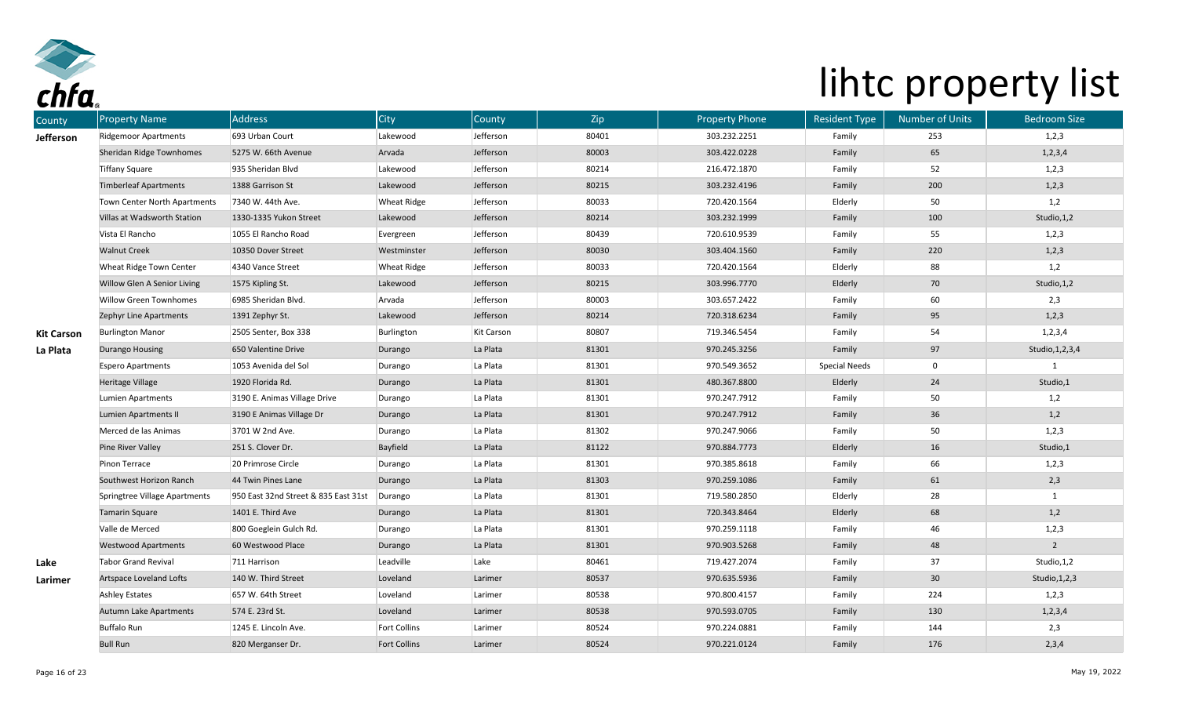

| County            | <b>Property Name</b>          | <b>Address</b>                       | <b>City</b>         | County     | Zip   | <b>Property Phone</b> | <b>Resident Type</b> | <b>Number of Units</b> | <b>Bedroom Size</b> |
|-------------------|-------------------------------|--------------------------------------|---------------------|------------|-------|-----------------------|----------------------|------------------------|---------------------|
| Jefferson         | Ridgemoor Apartments          | 693 Urban Court                      | Lakewood            | Jefferson  | 80401 | 303.232.2251          | Family               | 253                    | 1,2,3               |
|                   | Sheridan Ridge Townhomes      | 5275 W. 66th Avenue                  | Arvada              | Jefferson  | 80003 | 303.422.0228          | Family               | 65                     | 1, 2, 3, 4          |
|                   | Tiffany Square                | 935 Sheridan Blvd                    | Lakewood            | Jefferson  | 80214 | 216.472.1870          | Family               | 52                     | 1,2,3               |
|                   | <b>Timberleaf Apartments</b>  | 1388 Garrison St                     | Lakewood            | Jefferson  | 80215 | 303.232.4196          | Family               | 200                    | 1, 2, 3             |
|                   | Town Center North Apartments  | 7340 W. 44th Ave.                    | <b>Wheat Ridge</b>  | Jefferson  | 80033 | 720.420.1564          | Elderly              | 50                     | 1,2                 |
|                   | Villas at Wadsworth Station   | 1330-1335 Yukon Street               | Lakewood            | Jefferson  | 80214 | 303.232.1999          | Family               | 100                    | Studio, 1, 2        |
|                   | Vista El Rancho               | 1055 El Rancho Road                  | Evergreen           | Jefferson  | 80439 | 720.610.9539          | Family               | 55                     | 1,2,3               |
|                   | <b>Walnut Creek</b>           | 10350 Dover Street                   | Westminster         | Jefferson  | 80030 | 303.404.1560          | Family               | 220                    | 1, 2, 3             |
|                   | Wheat Ridge Town Center       | 4340 Vance Street                    | <b>Wheat Ridge</b>  | Jefferson  | 80033 | 720.420.1564          | Elderly              | 88                     | 1,2                 |
|                   | Willow Glen A Senior Living   | 1575 Kipling St.                     | Lakewood            | Jefferson  | 80215 | 303.996.7770          | Elderly              | 70                     | Studio, 1, 2        |
|                   | <b>Willow Green Townhomes</b> | 6985 Sheridan Blvd.                  | Arvada              | Jefferson  | 80003 | 303.657.2422          | Family               | 60                     | 2,3                 |
|                   | Zephyr Line Apartments        | 1391 Zephyr St.                      | Lakewood            | Jefferson  | 80214 | 720.318.6234          | Family               | 95                     | 1, 2, 3             |
| <b>Kit Carson</b> | <b>Burlington Manor</b>       | 2505 Senter, Box 338                 | Burlington          | Kit Carson | 80807 | 719.346.5454          | Family               | 54                     | 1, 2, 3, 4          |
| La Plata          | Durango Housing               | 650 Valentine Drive                  | Durango             | La Plata   | 81301 | 970.245.3256          | Family               | 97                     | Studio, 1, 2, 3, 4  |
|                   | Espero Apartments             | 1053 Avenida del Sol                 | Durango             | La Plata   | 81301 | 970.549.3652          | <b>Special Needs</b> | $\mathbf 0$            |                     |
|                   | Heritage Village              | 1920 Florida Rd.                     | Durango             | La Plata   | 81301 | 480.367.8800          | Elderly              | 24                     | Studio,1            |
|                   | Lumien Apartments             | 3190 E. Animas Village Drive         | Durango             | La Plata   | 81301 | 970.247.7912          | Family               | 50                     | 1,2                 |
|                   | Lumien Apartments II          | 3190 E Animas Village Dr             | Durango             | La Plata   | 81301 | 970.247.7912          | Family               | 36                     | 1,2                 |
|                   | Merced de las Animas          | 3701 W 2nd Ave.                      | Durango             | La Plata   | 81302 | 970.247.9066          | Family               | 50                     | 1,2,3               |
|                   | Pine River Valley             | 251 S. Clover Dr.                    | Bayfield            | La Plata   | 81122 | 970.884.7773          | Elderly              | 16                     | Studio,1            |
|                   | Pinon Terrace                 | 20 Primrose Circle                   | Durango             | La Plata   | 81301 | 970.385.8618          | Family               | 66                     | 1,2,3               |
|                   | Southwest Horizon Ranch       | 44 Twin Pines Lane                   | Durango             | La Plata   | 81303 | 970.259.1086          | Family               | 61                     | 2,3                 |
|                   | Springtree Village Apartments | 950 East 32nd Street & 835 East 31st | Durango             | La Plata   | 81301 | 719.580.2850          | Elderly              | 28                     | $\mathbf{1}$        |
|                   | <b>Tamarin Square</b>         | 1401 E. Third Ave                    | Durango             | La Plata   | 81301 | 720.343.8464          | Elderly              | 68                     | 1,2                 |
|                   | Valle de Merced               | 800 Goeglein Gulch Rd.               | Durango             | La Plata   | 81301 | 970.259.1118          | Family               | 46                     | 1,2,3               |
|                   | <b>Westwood Apartments</b>    | 60 Westwood Place                    | Durango             | La Plata   | 81301 | 970.903.5268          | Family               | 48                     | $\overline{2}$      |
| Lake              | <b>Tabor Grand Revival</b>    | 711 Harrison                         | Leadville           | Lake       | 80461 | 719.427.2074          | Family               | 37                     | Studio, 1, 2        |
| Larimer           | Artspace Loveland Lofts       | 140 W. Third Street                  | Loveland            | Larimer    | 80537 | 970.635.5936          | Family               | 30 <sup>°</sup>        | Studio, 1, 2, 3     |
|                   | Ashley Estates                | 657 W. 64th Street                   | Loveland            | Larimer    | 80538 | 970.800.4157          | Family               | 224                    | 1,2,3               |
|                   | Autumn Lake Apartments        | 574 E. 23rd St.                      | Loveland            | Larimer    | 80538 | 970.593.0705          | Family               | 130                    | 1, 2, 3, 4          |
|                   | <b>Buffalo Run</b>            | 1245 E. Lincoln Ave.                 | Fort Collins        | Larimer    | 80524 | 970.224.0881          | Family               | 144                    | 2,3                 |
|                   | <b>Bull Run</b>               | 820 Merganser Dr.                    | <b>Fort Collins</b> | Larimer    | 80524 | 970.221.0124          | Family               | 176                    | 2,3,4               |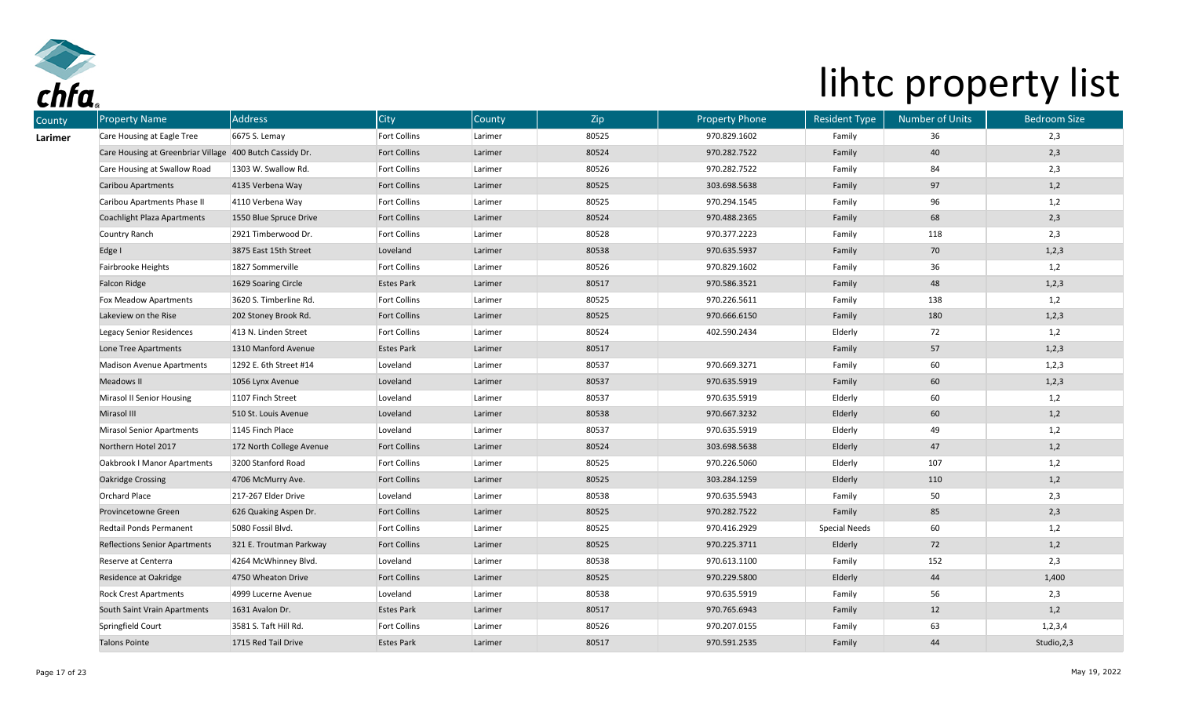

| County  | <b>Property Name</b>                                     | Address                  | City                | County  | Zip   | <b>Property Phone</b> | <b>Resident Type</b> | <b>Number of Units</b> | <b>Bedroom Size</b> |
|---------|----------------------------------------------------------|--------------------------|---------------------|---------|-------|-----------------------|----------------------|------------------------|---------------------|
| Larimer | Care Housing at Eagle Tree                               | 6675 S. Lemay            | Fort Collins        | Larimer | 80525 | 970.829.1602          | Family               | 36                     | 2,3                 |
|         | Care Housing at Greenbriar Village 400 Butch Cassidy Dr. |                          | <b>Fort Collins</b> | Larimer | 80524 | 970.282.7522          | Family               | 40                     | 2,3                 |
|         | Care Housing at Swallow Road                             | 1303 W. Swallow Rd.      | Fort Collins        | Larimer | 80526 | 970.282.7522          | Family               | 84                     | 2,3                 |
|         | Caribou Apartments                                       | 4135 Verbena Way         | <b>Fort Collins</b> | Larimer | 80525 | 303.698.5638          | Family               | 97                     | 1,2                 |
|         | Caribou Apartments Phase II                              | 4110 Verbena Way         | <b>Fort Collins</b> | Larimer | 80525 | 970.294.1545          | Family               | 96                     | 1,2                 |
|         | <b>Coachlight Plaza Apartments</b>                       | 1550 Blue Spruce Drive   | <b>Fort Collins</b> | Larimer | 80524 | 970.488.2365          | Family               | 68                     | 2,3                 |
|         | Country Ranch                                            | 2921 Timberwood Dr.      | <b>Fort Collins</b> | Larimer | 80528 | 970.377.2223          | Family               | 118                    | 2,3                 |
|         | Edge I                                                   | 3875 East 15th Street    | Loveland            | Larimer | 80538 | 970.635.5937          | Family               | 70                     | 1,2,3               |
|         | Fairbrooke Heights                                       | 1827 Sommerville         | <b>Fort Collins</b> | Larimer | 80526 | 970.829.1602          | Family               | 36                     | 1,2                 |
|         | <b>Falcon Ridge</b>                                      | 1629 Soaring Circle      | <b>Estes Park</b>   | Larimer | 80517 | 970.586.3521          | Family               | 48                     | 1,2,3               |
|         | Fox Meadow Apartments                                    | 3620 S. Timberline Rd.   | <b>Fort Collins</b> | Larimer | 80525 | 970.226.5611          | Family               | 138                    | 1,2                 |
|         | Lakeview on the Rise                                     | 202 Stoney Brook Rd.     | <b>Fort Collins</b> | Larimer | 80525 | 970.666.6150          | Family               | 180                    | 1,2,3               |
|         | Legacy Senior Residences                                 | 413 N. Linden Street     | <b>Fort Collins</b> | Larimer | 80524 | 402.590.2434          | Elderly              | 72                     | 1,2                 |
|         | Lone Tree Apartments                                     | 1310 Manford Avenue      | <b>Estes Park</b>   | Larimer | 80517 |                       | Family               | 57                     | 1,2,3               |
|         | <b>Madison Avenue Apartments</b>                         | 1292 E. 6th Street #14   | Loveland            | Larimer | 80537 | 970.669.3271          | Family               | 60                     | 1,2,3               |
|         | Meadows II                                               | 1056 Lynx Avenue         | Loveland            | Larimer | 80537 | 970.635.5919          | Family               | 60                     | 1,2,3               |
|         | Mirasol II Senior Housing                                | 1107 Finch Street        | Loveland            | Larimer | 80537 | 970.635.5919          | Elderly              | 60                     | 1,2                 |
|         | Mirasol III                                              | 510 St. Louis Avenue     | Loveland            | Larimer | 80538 | 970.667.3232          | Elderly              | 60                     | 1,2                 |
|         | <b>Mirasol Senior Apartments</b>                         | 1145 Finch Place         | Loveland            | Larimer | 80537 | 970.635.5919          | Elderly              | 49                     | 1,2                 |
|         | Northern Hotel 2017                                      | 172 North College Avenue | <b>Fort Collins</b> | Larimer | 80524 | 303.698.5638          | Elderly              | 47                     | 1,2                 |
|         | Oakbrook I Manor Apartments                              | 3200 Stanford Road       | <b>Fort Collins</b> | Larimer | 80525 | 970.226.5060          | Elderly              | 107                    | 1,2                 |
|         | <b>Oakridge Crossing</b>                                 | 4706 McMurry Ave.        | <b>Fort Collins</b> | Larimer | 80525 | 303.284.1259          | Elderly              | 110                    | 1,2                 |
|         | <b>Orchard Place</b>                                     | 217-267 Elder Drive      | Loveland            | Larimer | 80538 | 970.635.5943          | Family               | 50                     | 2,3                 |
|         | Provincetowne Green                                      | 626 Quaking Aspen Dr.    | <b>Fort Collins</b> | Larimer | 80525 | 970.282.7522          | Family               | 85                     | 2,3                 |
|         | Redtail Ponds Permanent                                  | 5080 Fossil Blvd.        | Fort Collins        | Larimer | 80525 | 970.416.2929          | <b>Special Needs</b> | 60                     | 1,2                 |
|         | <b>Reflections Senior Apartments</b>                     | 321 E. Troutman Parkway  | <b>Fort Collins</b> | Larimer | 80525 | 970.225.3711          | Elderly              | 72                     | 1,2                 |
|         | Reserve at Centerra                                      | 4264 McWhinney Blvd.     | Loveland            | Larimer | 80538 | 970.613.1100          | Family               | 152                    | 2,3                 |
|         | Residence at Oakridge                                    | 4750 Wheaton Drive       | <b>Fort Collins</b> | Larimer | 80525 | 970.229.5800          | Elderly              | 44                     | 1,400               |
|         | <b>Rock Crest Apartments</b>                             | 4999 Lucerne Avenue      | Loveland            | Larimer | 80538 | 970.635.5919          | Family               | 56                     | 2,3                 |
|         | South Saint Vrain Apartments                             | 1631 Avalon Dr.          | <b>Estes Park</b>   | Larimer | 80517 | 970.765.6943          | Family               | 12                     | 1,2                 |
|         | Springfield Court                                        | 3581 S. Taft Hill Rd.    | Fort Collins        | Larimer | 80526 | 970.207.0155          | Family               | 63                     | 1, 2, 3, 4          |
|         | <b>Talons Pointe</b>                                     | 1715 Red Tail Drive      | <b>Estes Park</b>   | Larimer | 80517 | 970.591.2535          | Family               | 44                     | Studio, 2, 3        |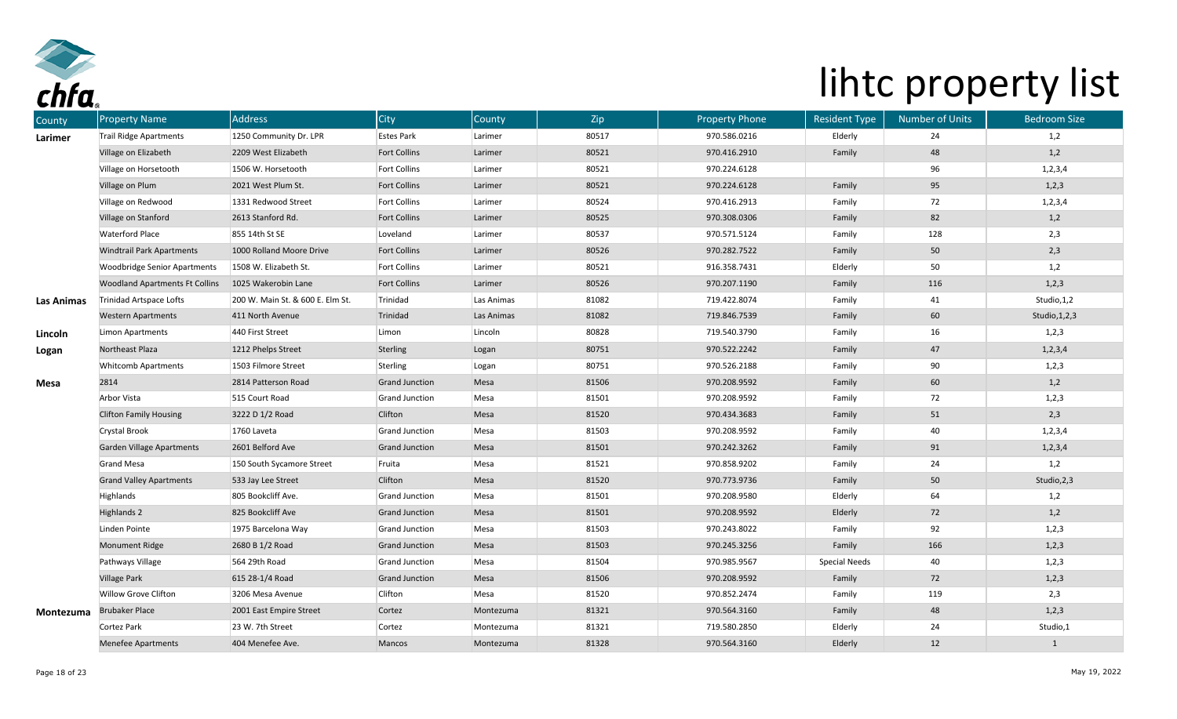

| County            | <b>Property Name</b>                  | <b>Address</b>                   | <b>City</b>           | County     | Zip   | <b>Property Phone</b> | <b>Resident Type</b> | <b>Number of Units</b> | <b>Bedroom Size</b> |
|-------------------|---------------------------------------|----------------------------------|-----------------------|------------|-------|-----------------------|----------------------|------------------------|---------------------|
| Larimer           | <b>Trail Ridge Apartments</b>         | 1250 Community Dr. LPR           | <b>Estes Park</b>     | Larimer    | 80517 | 970.586.0216          | Elderly              | 24                     | 1,2                 |
|                   | Village on Elizabeth                  | 2209 West Elizabeth              | <b>Fort Collins</b>   | Larimer    | 80521 | 970.416.2910          | Family               | 48                     | 1,2                 |
|                   | Village on Horsetooth                 | 1506 W. Horsetooth               | <b>Fort Collins</b>   | Larimer    | 80521 | 970.224.6128          |                      | 96                     | 1, 2, 3, 4          |
|                   | Village on Plum                       | 2021 West Plum St.               | <b>Fort Collins</b>   | Larimer    | 80521 | 970.224.6128          | Family               | 95                     | 1,2,3               |
|                   | Village on Redwood                    | 1331 Redwood Street              | <b>Fort Collins</b>   | Larimer    | 80524 | 970.416.2913          | Family               | 72                     | 1, 2, 3, 4          |
|                   | Village on Stanford                   | 2613 Stanford Rd.                | <b>Fort Collins</b>   | Larimer    | 80525 | 970.308.0306          | Family               | 82                     | 1,2                 |
|                   | <b>Waterford Place</b>                | 855 14th St SE                   | Loveland              | Larimer    | 80537 | 970.571.5124          | Family               | 128                    | 2,3                 |
|                   | <b>Windtrail Park Apartments</b>      | 1000 Rolland Moore Drive         | <b>Fort Collins</b>   | Larimer    | 80526 | 970.282.7522          | Family               | 50                     | 2,3                 |
|                   | <b>Woodbridge Senior Apartments</b>   | 1508 W. Elizabeth St.            | <b>Fort Collins</b>   | Larimer    | 80521 | 916.358.7431          | Elderly              | 50                     | 1,2                 |
|                   | <b>Woodland Apartments Ft Collins</b> | 1025 Wakerobin Lane              | <b>Fort Collins</b>   | Larimer    | 80526 | 970.207.1190          | Family               | 116                    | 1, 2, 3             |
| <b>Las Animas</b> | Trinidad Artspace Lofts               | 200 W. Main St. & 600 E. Elm St. | Trinidad              | Las Animas | 81082 | 719.422.8074          | Family               | 41                     | Studio, 1, 2        |
|                   | <b>Western Apartments</b>             | 411 North Avenue                 | Trinidad              | Las Animas | 81082 | 719.846.7539          | Family               | 60                     | Studio, 1, 2, 3     |
| Lincoln           | Limon Apartments                      | 440 First Street                 | Limon                 | Lincoln    | 80828 | 719.540.3790          | Family               | 16                     | 1,2,3               |
| Logan             | Northeast Plaza                       | 1212 Phelps Street               | Sterling              | Logan      | 80751 | 970.522.2242          | Family               | 47                     | 1, 2, 3, 4          |
|                   | <b>Whitcomb Apartments</b>            | 1503 Filmore Street              | Sterling              | Logan      | 80751 | 970.526.2188          | Family               | 90                     | 1,2,3               |
| <b>Mesa</b>       | 2814                                  | 2814 Patterson Road              | <b>Grand Junction</b> | Mesa       | 81506 | 970.208.9592          | Family               | 60                     | 1,2                 |
|                   | Arbor Vista                           | 515 Court Road                   | Grand Junction        | Mesa       | 81501 | 970.208.9592          | Family               | 72                     | 1, 2, 3             |
|                   | <b>Clifton Family Housing</b>         | 3222 D 1/2 Road                  | Clifton               | Mesa       | 81520 | 970.434.3683          | Family               | 51                     | 2,3                 |
|                   | Crystal Brook                         | 1760 Laveta                      | Grand Junction        | Mesa       | 81503 | 970.208.9592          | Family               | 40                     | 1, 2, 3, 4          |
|                   | <b>Garden Village Apartments</b>      | 2601 Belford Ave                 | <b>Grand Junction</b> | Mesa       | 81501 | 970.242.3262          | Family               | 91                     | 1, 2, 3, 4          |
|                   | <b>Grand Mesa</b>                     | 150 South Sycamore Street        | Fruita                | Mesa       | 81521 | 970.858.9202          | Family               | 24                     | 1,2                 |
|                   | <b>Grand Valley Apartments</b>        | 533 Jay Lee Street               | Clifton               | Mesa       | 81520 | 970.773.9736          | Family               | 50                     | Studio, 2, 3        |
|                   | Highlands                             | 805 Bookcliff Ave.               | <b>Grand Junction</b> | Mesa       | 81501 | 970.208.9580          | Elderly              | 64                     | 1,2                 |
|                   | <b>Highlands 2</b>                    | 825 Bookcliff Ave                | <b>Grand Junction</b> | Mesa       | 81501 | 970.208.9592          | Elderly              | 72                     | 1,2                 |
|                   | Linden Pointe                         | 1975 Barcelona Way               | Grand Junction        | Mesa       | 81503 | 970.243.8022          | Family               | 92                     | 1,2,3               |
|                   | <b>Monument Ridge</b>                 | 2680 B 1/2 Road                  | <b>Grand Junction</b> | Mesa       | 81503 | 970.245.3256          | Family               | 166                    | 1, 2, 3             |
|                   | Pathways Village                      | 564 29th Road                    | Grand Junction        | Mesa       | 81504 | 970.985.9567          | <b>Special Needs</b> | 40                     | 1,2,3               |
|                   | <b>Village Park</b>                   | 615 28-1/4 Road                  | <b>Grand Junction</b> | Mesa       | 81506 | 970.208.9592          | Family               | 72                     | 1,2,3               |
|                   | Willow Grove Clifton                  | 3206 Mesa Avenue                 | Clifton               | Mesa       | 81520 | 970.852.2474          | Family               | 119                    | 2,3                 |
| Montezuma         | <b>Brubaker Place</b>                 | 2001 East Empire Street          | Cortez                | Montezuma  | 81321 | 970.564.3160          | Family               | 48                     | 1,2,3               |
|                   | Cortez Park                           | 23 W. 7th Street                 | Cortez                | Montezuma  | 81321 | 719.580.2850          | Elderly              | 24                     | Studio,1            |
|                   | <b>Menefee Apartments</b>             | 404 Menefee Ave.                 | Mancos                | Montezuma  | 81328 | 970.564.3160          | Elderly              | 12                     | $\mathbf{1}$        |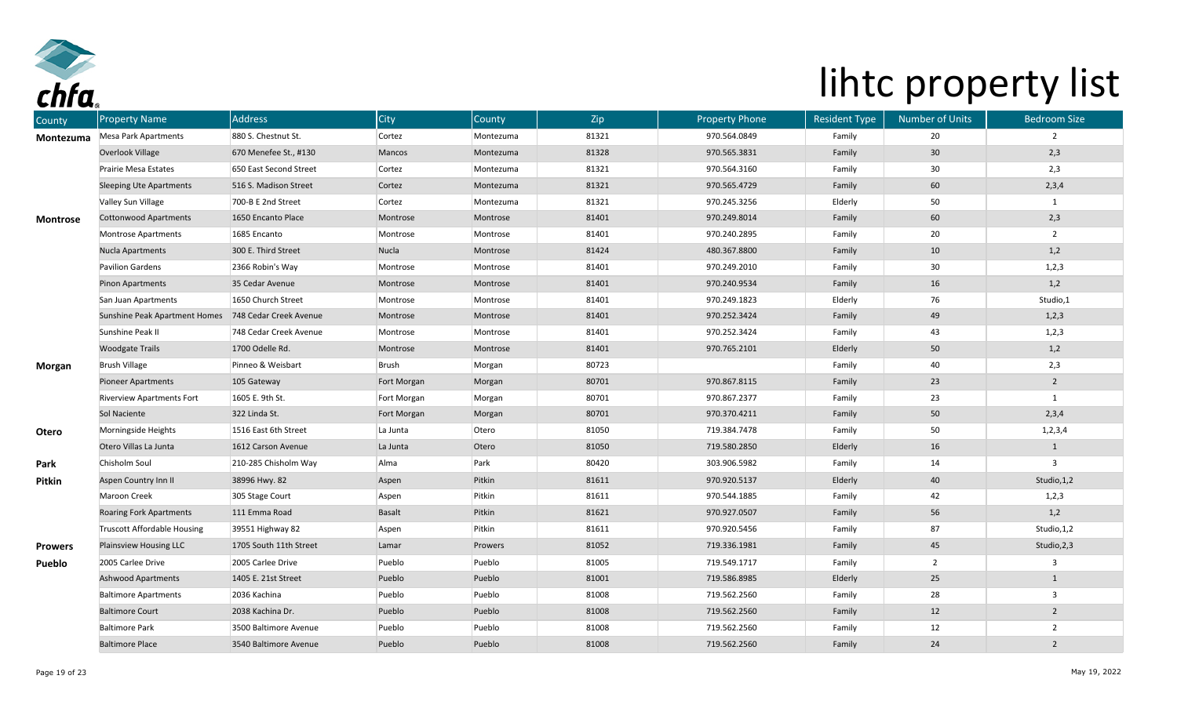

| County          | <b>Property Name</b>               | <b>Address</b>         | <b>City</b>   | County    | Zip   | <b>Property Phone</b> | <b>Resident Type</b> | <b>Number of Units</b> | <b>Bedroom Size</b> |
|-----------------|------------------------------------|------------------------|---------------|-----------|-------|-----------------------|----------------------|------------------------|---------------------|
| Montezuma       | Mesa Park Apartments               | 880 S. Chestnut St.    | Cortez        | Montezuma | 81321 | 970.564.0849          | Family               | 20                     | $\overline{2}$      |
|                 | Overlook Village                   | 670 Menefee St., #130  | Mancos        | Montezuma | 81328 | 970.565.3831          | Family               | 30 <sub>o</sub>        | 2,3                 |
|                 | Prairie Mesa Estates               | 650 East Second Street | Cortez        | Montezuma | 81321 | 970.564.3160          | Family               | 30 <sub>o</sub>        | 2,3                 |
|                 | <b>Sleeping Ute Apartments</b>     | 516 S. Madison Street  | Cortez        | Montezuma | 81321 | 970.565.4729          | Family               | 60                     | 2,3,4               |
|                 | Valley Sun Village                 | 700-B E 2nd Street     | Cortez        | Montezuma | 81321 | 970.245.3256          | Elderly              | 50                     | $\mathbf{1}$        |
| <b>Montrose</b> | <b>Cottonwood Apartments</b>       | 1650 Encanto Place     | Montrose      | Montrose  | 81401 | 970.249.8014          | Family               | 60                     | 2,3                 |
|                 | Montrose Apartments                | 1685 Encanto           | Montrose      | Montrose  | 81401 | 970.240.2895          | Family               | 20                     | $\overline{2}$      |
|                 | Nucla Apartments                   | 300 E. Third Street    | Nucla         | Montrose  | 81424 | 480.367.8800          | Family               | 10                     | 1,2                 |
|                 | Pavilion Gardens                   | 2366 Robin's Way       | Montrose      | Montrose  | 81401 | 970.249.2010          | Family               | 30                     | 1,2,3               |
|                 | <b>Pinon Apartments</b>            | 35 Cedar Avenue        | Montrose      | Montrose  | 81401 | 970.240.9534          | Family               | 16                     | 1,2                 |
|                 | San Juan Apartments                | 1650 Church Street     | Montrose      | Montrose  | 81401 | 970.249.1823          | Elderly              | 76                     | Studio,1            |
|                 | Sunshine Peak Apartment Homes      | 748 Cedar Creek Avenue | Montrose      | Montrose  | 81401 | 970.252.3424          | Family               | 49                     | 1,2,3               |
|                 | Sunshine Peak II                   | 748 Cedar Creek Avenue | Montrose      | Montrose  | 81401 | 970.252.3424          | Family               | 43                     | 1,2,3               |
|                 | <b>Woodgate Trails</b>             | 1700 Odelle Rd.        | Montrose      | Montrose  | 81401 | 970.765.2101          | Elderly              | 50                     | 1,2                 |
| Morgan          | <b>Brush Village</b>               | Pinneo & Weisbart      | Brush         | Morgan    | 80723 |                       | Family               | 40                     | 2,3                 |
|                 | <b>Pioneer Apartments</b>          | 105 Gateway            | Fort Morgan   | Morgan    | 80701 | 970.867.8115          | Family               | 23                     | $\overline{2}$      |
|                 | <b>Riverview Apartments Fort</b>   | 1605 E. 9th St.        | Fort Morgan   | Morgan    | 80701 | 970.867.2377          | Family               | 23                     | $\mathbf{1}$        |
|                 | Sol Naciente                       | 322 Linda St.          | Fort Morgan   | Morgan    | 80701 | 970.370.4211          | Family               | 50                     | 2,3,4               |
| Otero           | Morningside Heights                | 1516 East 6th Street   | La Junta      | Otero     | 81050 | 719.384.7478          | Family               | 50                     | 1, 2, 3, 4          |
|                 | Otero Villas La Junta              | 1612 Carson Avenue     | La Junta      | Otero     | 81050 | 719.580.2850          | Elderly              | 16                     | $\mathbf{1}$        |
| Park            | Chisholm Soul                      | 210-285 Chisholm Way   | Alma          | Park      | 80420 | 303.906.5982          | Family               | 14                     | 3                   |
| <b>Pitkin</b>   | Aspen Country Inn II               | 38996 Hwy. 82          | Aspen         | Pitkin    | 81611 | 970.920.5137          | Elderly              | 40                     | Studio, 1, 2        |
|                 | Maroon Creek                       | 305 Stage Court        | Aspen         | Pitkin    | 81611 | 970.544.1885          | Family               | 42                     | 1,2,3               |
|                 | <b>Roaring Fork Apartments</b>     | 111 Emma Road          | <b>Basalt</b> | Pitkin    | 81621 | 970.927.0507          | Family               | 56                     | 1,2                 |
|                 | <b>Truscott Affordable Housing</b> | 39551 Highway 82       | Aspen         | Pitkin    | 81611 | 970.920.5456          | Family               | 87                     | Studio, 1, 2        |
| <b>Prowers</b>  | Plainsview Housing LLC             | 1705 South 11th Street | Lamar         | Prowers   | 81052 | 719.336.1981          | Family               | 45                     | Studio, 2, 3        |
| Pueblo          | 2005 Carlee Drive                  | 2005 Carlee Drive      | Pueblo        | Pueblo    | 81005 | 719.549.1717          | Family               | $\overline{2}$         | $\mathbf{3}$        |
|                 | <b>Ashwood Apartments</b>          | 1405 E. 21st Street    | Pueblo        | Pueblo    | 81001 | 719.586.8985          | Elderly              | 25                     | $\mathbf{1}$        |
|                 | <b>Baltimore Apartments</b>        | 2036 Kachina           | Pueblo        | Pueblo    | 81008 | 719.562.2560          | Family               | 28                     | $\mathbf{3}$        |
|                 | <b>Baltimore Court</b>             | 2038 Kachina Dr.       | Pueblo        | Pueblo    | 81008 | 719.562.2560          | Family               | 12                     | $\overline{2}$      |
|                 | <b>Baltimore Park</b>              | 3500 Baltimore Avenue  | Pueblo        | Pueblo    | 81008 | 719.562.2560          | Family               | 12                     | $\overline{2}$      |
|                 | <b>Baltimore Place</b>             | 3540 Baltimore Avenue  | Pueblo        | Pueblo    | 81008 | 719.562.2560          | Family               | 24                     | $\overline{2}$      |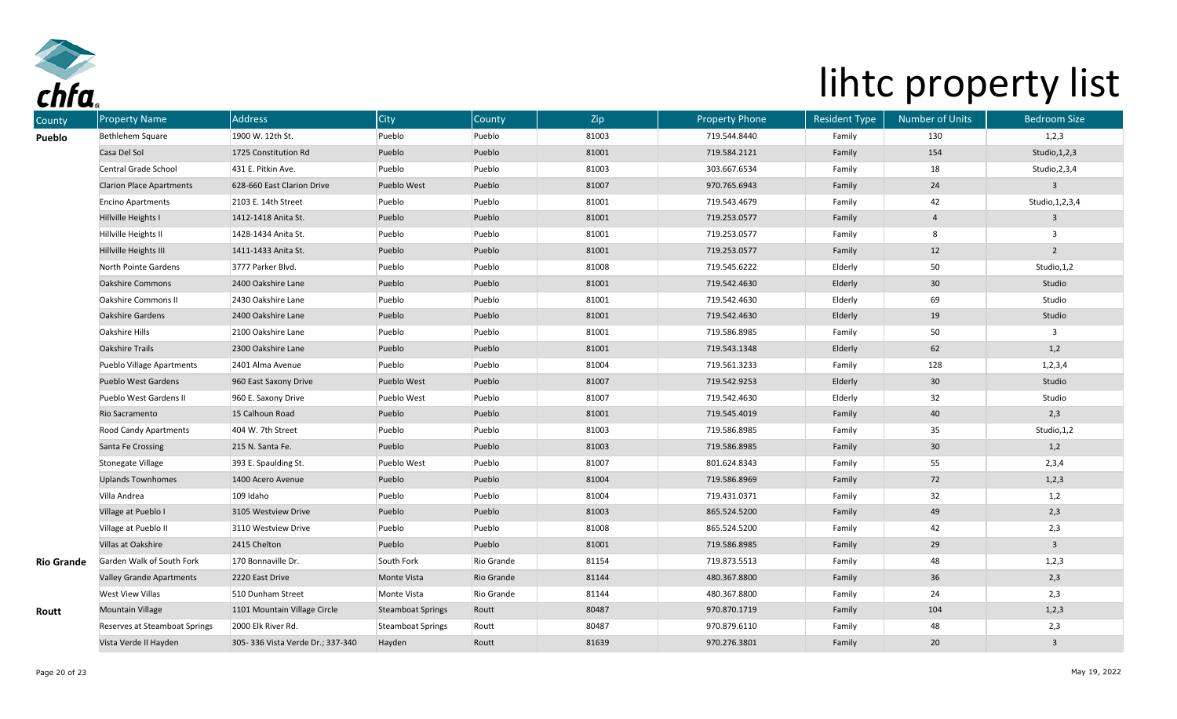

| County            | <b>Property Name</b>            | <b>Address</b>                   | City                     | County     | Zip   | <b>Property Phone</b> | <b>Resident Type</b> | <b>Number of Units</b> | <b>Bedroom Size</b>     |
|-------------------|---------------------------------|----------------------------------|--------------------------|------------|-------|-----------------------|----------------------|------------------------|-------------------------|
| Pueblo            | Bethlehem Square                | 1900 W. 12th St.                 | Pueblo                   | Pueblo     | 81003 | 719.544.8440          | Family               | 130                    | 1,2,3                   |
|                   | Casa Del Sol                    | 1725 Constitution Rd             | Pueblo                   | Pueblo     | 81001 | 719.584.2121          | Family               | 154                    | Studio, 1, 2, 3         |
|                   | Central Grade School            | 431 E. Pitkin Ave.               | Pueblo                   | Pueblo     | 81003 | 303.667.6534          | Family               | 18                     | Studio, 2, 3, 4         |
|                   | <b>Clarion Place Apartments</b> | 628-660 East Clarion Drive       | Pueblo West              | Pueblo     | 81007 | 970.765.6943          | Family               | 24                     | $\mathbf{3}$            |
|                   | <b>Encino Apartments</b>        | 2103 E. 14th Street              | Pueblo                   | Pueblo     | 81001 | 719.543.4679          | Family               | 42                     | Studio, 1, 2, 3, 4      |
|                   | Hillville Heights I             | 1412-1418 Anita St.              | Pueblo                   | Pueblo     | 81001 | 719.253.0577          | Family               | 4                      | $\overline{\mathbf{3}}$ |
|                   | Hillville Heights II            | 1428-1434 Anita St.              | Pueblo                   | Pueblo     | 81001 | 719.253.0577          | Family               | 8                      | $\mathbf{3}$            |
|                   | Hillville Heights III           | 1411-1433 Anita St.              | Pueblo                   | Pueblo     | 81001 | 719.253.0577          | Family               | 12                     | $\overline{2}$          |
|                   | North Pointe Gardens            | 3777 Parker Blvd.                | Pueblo                   | Pueblo     | 81008 | 719.545.6222          | Elderly              | 50                     | Studio, 1, 2            |
|                   | Oakshire Commons                | 2400 Oakshire Lane               | Pueblo                   | Pueblo     | 81001 | 719.542.4630          | Elderly              | 30 <sub>o</sub>        | Studio                  |
|                   | <b>Oakshire Commons II</b>      | 2430 Oakshire Lane               | Pueblo                   | Pueblo     | 81001 | 719.542.4630          | Elderly              | 69                     | Studio                  |
|                   | <b>Oakshire Gardens</b>         | 2400 Oakshire Lane               | Pueblo                   | Pueblo     | 81001 | 719.542.4630          | Elderly              | 19                     | Studio                  |
|                   | Oakshire Hills                  | 2100 Oakshire Lane               | Pueblo                   | Pueblo     | 81001 | 719.586.8985          | Family               | 50                     | $\mathbf{3}$            |
|                   | <b>Oakshire Trails</b>          | 2300 Oakshire Lane               | Pueblo                   | Pueblo     | 81001 | 719.543.1348          | Elderly              | 62                     | 1,2                     |
|                   | Pueblo Village Apartments       | 2401 Alma Avenue                 | Pueblo                   | Pueblo     | 81004 | 719.561.3233          | Family               | 128                    | 1, 2, 3, 4              |
|                   | <b>Pueblo West Gardens</b>      | 960 East Saxony Drive            | Pueblo West              | Pueblo     | 81007 | 719.542.9253          | Elderly              | 30 <sup>°</sup>        | Studio                  |
|                   | Pueblo West Gardens II          | 960 E. Saxony Drive              | Pueblo West              | Pueblo     | 81007 | 719.542.4630          | Elderly              | 32                     | Studio                  |
|                   | Rio Sacramento                  | 15 Calhoun Road                  | Pueblo                   | Pueblo     | 81001 | 719.545.4019          | Family               | 40                     | 2,3                     |
|                   | Rood Candy Apartments           | 404 W. 7th Street                | Pueblo                   | Pueblo     | 81003 | 719.586.8985          | Family               | 35                     | Studio, 1, 2            |
|                   | Santa Fe Crossing               | 215 N. Santa Fe.                 | Pueblo                   | Pueblo     | 81003 | 719.586.8985          | Family               | 30 <sub>o</sub>        | 1,2                     |
|                   | Stonegate Village               | 393 E. Spaulding St.             | Pueblo West              | Pueblo     | 81007 | 801.624.8343          | Family               | 55                     | 2,3,4                   |
|                   | <b>Uplands Townhomes</b>        | 1400 Acero Avenue                | Pueblo                   | Pueblo     | 81004 | 719.586.8969          | Family               | 72                     | 1,2,3                   |
|                   | Villa Andrea                    | 109 Idaho                        | Pueblo                   | Pueblo     | 81004 | 719.431.0371          | Family               | 32                     | 1,2                     |
|                   | Village at Pueblo I             | 3105 Westview Drive              | Pueblo                   | Pueblo     | 81003 | 865.524.5200          | Family               | 49                     | 2,3                     |
|                   | Village at Pueblo II            | 3110 Westview Drive              | Pueblo                   | Pueblo     | 81008 | 865.524.5200          | Family               | 42                     | 2,3                     |
|                   | Villas at Oakshire              | 2415 Chelton                     | Pueblo                   | Pueblo     | 81001 | 719.586.8985          | Family               | 29                     | $\overline{3}$          |
| <b>Rio Grande</b> | Garden Walk of South Fork       | 170 Bonnaville Dr.               | South Fork               | Rio Grande | 81154 | 719.873.5513          | Family               | 48                     | 1,2,3                   |
|                   | <b>Valley Grande Apartments</b> | 2220 East Drive                  | Monte Vista              | Rio Grande | 81144 | 480.367.8800          | Family               | 36                     | 2,3                     |
|                   | <b>West View Villas</b>         | 510 Dunham Street                | Monte Vista              | Rio Grande | 81144 | 480.367.8800          | Family               | 24                     | 2,3                     |
| Routt             | <b>Mountain Village</b>         | 1101 Mountain Village Circle     | <b>Steamboat Springs</b> | Routt      | 80487 | 970.870.1719          | Family               | 104                    | 1,2,3                   |
|                   | Reserves at Steamboat Springs   | 2000 Elk River Rd.               | Steamboat Springs        | Routt      | 80487 | 970.879.6110          | Family               | 48                     | 2,3                     |
|                   | Vista Verde II Hayden           | 305-336 Vista Verde Dr.; 337-340 | Hayden                   | Routt      | 81639 | 970.276.3801          | Family               | $20\degree$            | $\overline{\mathbf{3}}$ |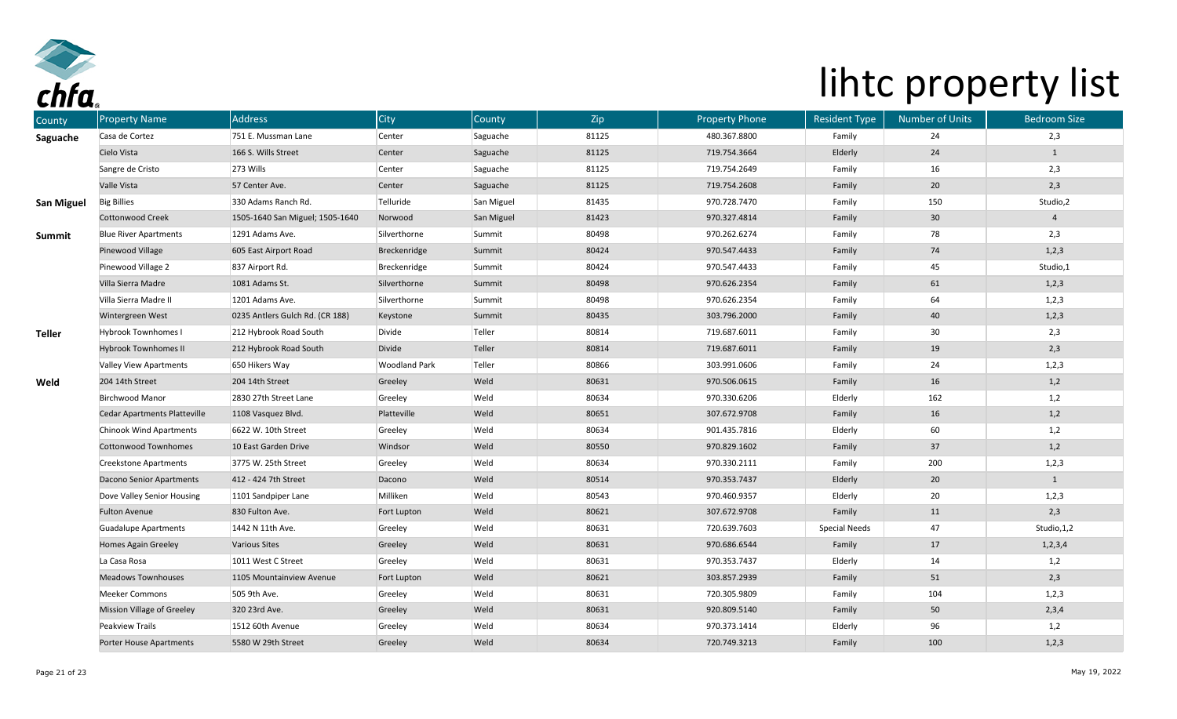

| County            | <b>Property Name</b>                | <b>Address</b>                  | City                 | County     | Zip   | <b>Property Phone</b> | <b>Resident Type</b> | <b>Number of Units</b> | <b>Bedroom Size</b> |
|-------------------|-------------------------------------|---------------------------------|----------------------|------------|-------|-----------------------|----------------------|------------------------|---------------------|
| Saguache          | Casa de Cortez                      | 751 E. Mussman Lane             | Center               | Saguache   | 81125 | 480.367.8800          | Family               | 24                     | 2,3                 |
|                   | Cielo Vista                         | 166 S. Wills Street             | Center               | Saguache   | 81125 | 719.754.3664          | Elderly              | 24                     | $\mathbf{1}$        |
|                   | Sangre de Cristo                    | 273 Wills                       | Center               | Saguache   | 81125 | 719.754.2649          | Family               | 16                     | 2,3                 |
|                   | Valle Vista                         | 57 Center Ave.                  | Center               | Saguache   | 81125 | 719.754.2608          | Family               | 20 <sub>2</sub>        | 2,3                 |
| <b>San Miguel</b> | <b>Big Billies</b>                  | 330 Adams Ranch Rd.             | Telluride            | San Miguel | 81435 | 970.728.7470          | Family               | 150                    | Studio,2            |
|                   | <b>Cottonwood Creek</b>             | 1505-1640 San Miguel; 1505-1640 | Norwood              | San Miguel | 81423 | 970.327.4814          | Family               | 30 <sub>o</sub>        | $\overline{4}$      |
| Summit            | <b>Blue River Apartments</b>        | 1291 Adams Ave.                 | Silverthorne         | Summit     | 80498 | 970.262.6274          | Family               | 78                     | 2,3                 |
|                   | Pinewood Village                    | 605 East Airport Road           | Breckenridge         | Summit     | 80424 | 970.547.4433          | Family               | 74                     | 1,2,3               |
|                   | Pinewood Village 2                  | 837 Airport Rd.                 | Breckenridge         | Summit     | 80424 | 970.547.4433          | Family               | 45                     | Studio,1            |
|                   | Villa Sierra Madre                  | 1081 Adams St.                  | Silverthorne         | Summit     | 80498 | 970.626.2354          | Family               | 61                     | 1,2,3               |
|                   | Villa Sierra Madre II               | 1201 Adams Ave.                 | Silverthorne         | Summit     | 80498 | 970.626.2354          | Family               | 64                     | 1,2,3               |
|                   | Wintergreen West                    | 0235 Antlers Gulch Rd. (CR 188) | Keystone             | Summit     | 80435 | 303.796.2000          | Family               | 40                     | 1,2,3               |
| <b>Teller</b>     | <b>Hybrook Townhomes I</b>          | 212 Hybrook Road South          | Divide               | Teller     | 80814 | 719.687.6011          | Family               | 30                     | 2,3                 |
|                   | <b>Hybrook Townhomes II</b>         | 212 Hybrook Road South          | Divide               | Teller     | 80814 | 719.687.6011          | Family               | 19                     | 2,3                 |
|                   | Valley View Apartments              | 650 Hikers Way                  | <b>Woodland Park</b> | Teller     | 80866 | 303.991.0606          | Family               | 24                     | 1,2,3               |
| Weld              | 204 14th Street                     | 204 14th Street                 | Greeley              | Weld       | 80631 | 970.506.0615          | Family               | 16                     | 1,2                 |
|                   | <b>Birchwood Manor</b>              | 2830 27th Street Lane           | Greeley              | Weld       | 80634 | 970.330.6206          | Elderly              | 162                    | 1,2                 |
|                   | <b>Cedar Apartments Platteville</b> | 1108 Vasquez Blvd.              | Platteville          | Weld       | 80651 | 307.672.9708          | Family               | 16                     | 1,2                 |
|                   | Chinook Wind Apartments             | 6622 W. 10th Street             | Greeley              | Weld       | 80634 | 901.435.7816          | Elderly              | 60                     | 1,2                 |
|                   | <b>Cottonwood Townhomes</b>         | 10 East Garden Drive            | Windsor              | Weld       | 80550 | 970.829.1602          | Family               | 37                     | 1,2                 |
|                   | <b>Creekstone Apartments</b>        | 3775 W. 25th Street             | Greeley              | Weld       | 80634 | 970.330.2111          | Family               | 200                    | 1,2,3               |
|                   | Dacono Senior Apartments            | 412 - 424 7th Street            | Dacono               | Weld       | 80514 | 970.353.7437          | Elderly              | 20                     | $\mathbf{1}$        |
|                   | Dove Valley Senior Housing          | 1101 Sandpiper Lane             | Milliken             | Weld       | 80543 | 970.460.9357          | Elderly              | 20                     | 1,2,3               |
|                   | <b>Fulton Avenue</b>                | 830 Fulton Ave.                 | Fort Lupton          | Weld       | 80621 | 307.672.9708          | Family               | 11                     | 2,3                 |
|                   | <b>Guadalupe Apartments</b>         | 1442 N 11th Ave.                | Greeley              | Weld       | 80631 | 720.639.7603          | <b>Special Needs</b> | 47                     | Studio, 1,2         |
|                   | <b>Homes Again Greeley</b>          | <b>Various Sites</b>            | Greeley              | Weld       | 80631 | 970.686.6544          | Family               | 17                     | 1, 2, 3, 4          |
|                   | La Casa Rosa                        | 1011 West C Street              | Greeley              | Weld       | 80631 | 970.353.7437          | Elderly              | 14                     | 1,2                 |
|                   | <b>Meadows Townhouses</b>           | 1105 Mountainview Avenue        | Fort Lupton          | Weld       | 80621 | 303.857.2939          | Family               | 51                     | 2,3                 |
|                   | Meeker Commons                      | 505 9th Ave.                    | Greeley              | Weld       | 80631 | 720.305.9809          | Family               | 104                    | 1,2,3               |
|                   | Mission Village of Greeley          | 320 23rd Ave.                   | Greeley              | Weld       | 80631 | 920.809.5140          | Family               | 50                     | 2,3,4               |
|                   | Peakview Trails                     | 1512 60th Avenue                | Greeley              | Weld       | 80634 | 970.373.1414          | Elderly              | 96                     | 1,2                 |
|                   | Porter House Apartments             | 5580 W 29th Street              | Greeley              | Weld       | 80634 | 720.749.3213          | Family               | 100                    | 1,2,3               |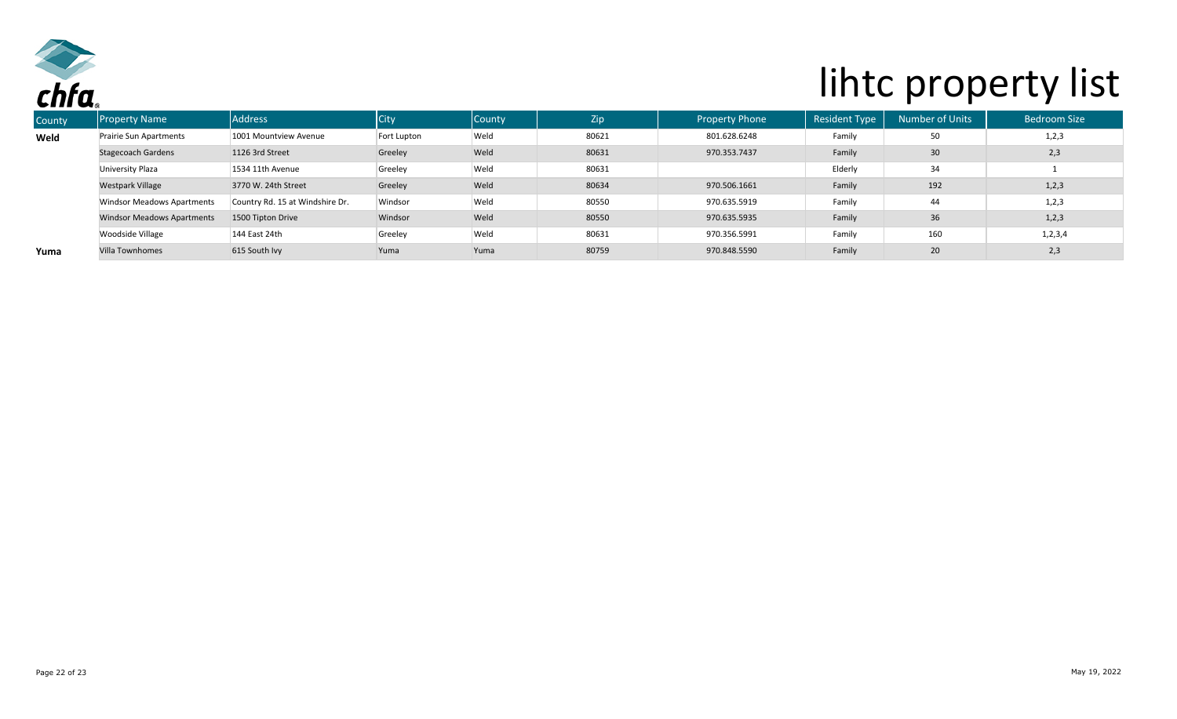

| ------ |                                   |                                 |             |               |       |                       |                      |                 |                     |
|--------|-----------------------------------|---------------------------------|-------------|---------------|-------|-----------------------|----------------------|-----------------|---------------------|
| County | <b>Property Name</b>              | <b>Address</b>                  | <b>City</b> | <b>County</b> | Zip   | <b>Property Phone</b> | <b>Resident Type</b> | Number of Units | <b>Bedroom Size</b> |
| Weld   | Prairie Sun Apartments            | 1001 Mountview Avenue           | Fort Lupton | Weld          | 80621 | 801.628.6248          | Family               | 50              | 1,2,3               |
|        | <b>Stagecoach Gardens</b>         | 1126 3rd Street                 | Greeley     | Weld          | 80631 | 970.353.7437          | Family               | $30\,$          | 2,3                 |
|        | University Plaza                  | 1534 11th Avenue                | Greeley     | Weld          | 80631 |                       | Elderly              | 34              |                     |
|        | <b>Westpark Village</b>           | 3770 W. 24th Street             | Greeley     | Weld          | 80634 | 970.506.1661          | Family               | 192             | 1, 2, 3             |
|        | <b>Windsor Meadows Apartments</b> | Country Rd. 15 at Windshire Dr. | Windsor     | Weld          | 80550 | 970.635.5919          | Family               | 44              | 1,2,3               |
|        | <b>Windsor Meadows Apartments</b> | 1500 Tipton Drive               | Windsor     | Weld          | 80550 | 970.635.5935          | Family               | 36              | 1,2,3               |
|        | Woodside Village                  | 144 East 24th                   | Greeley     | Weld          | 80631 | 970.356.5991          | Family               | 160             | 1, 2, 3, 4          |
| Yuma   | <b>Villa Townhomes</b>            | 615 South Ivy                   | Yuma        | Yuma          | 80759 | 970.848.5590          | Family               | 20              | 2,3                 |